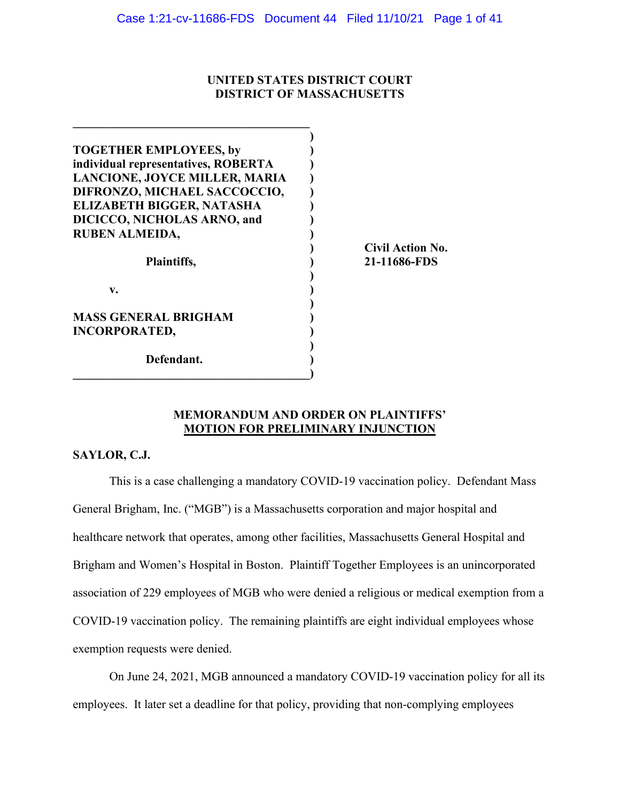# **UNITED STATES DISTRICT COURT DISTRICT OF MASSACHUSETTS**

| <b>TOGETHER EMPLOYEES, by</b>       |                         |
|-------------------------------------|-------------------------|
| individual representatives, ROBERTA |                         |
| LANCIONE, JOYCE MILLER, MARIA       |                         |
| DIFRONZO, MICHAEL SACCOCCIO,        |                         |
| <b>ELIZABETH BIGGER, NATASHA</b>    |                         |
| DICICCO, NICHOLAS ARNO, and         |                         |
| <b>RUBEN ALMEIDA,</b>               |                         |
|                                     | <b>Civil Action No.</b> |
| Plaintiffs,                         | 21-11686-FDS            |
|                                     |                         |
| $\mathbf{v}$ .                      |                         |
|                                     |                         |
| <b>MASS GENERAL BRIGHAM</b>         |                         |
| <b>INCORPORATED,</b>                |                         |
|                                     |                         |
| Defendant.                          |                         |
|                                     |                         |

# **MEMORANDUM AND ORDER ON PLAINTIFFS' MOTION FOR PRELIMINARY INJUNCTION**

# **SAYLOR, C.J.**

This is a case challenging a mandatory COVID-19 vaccination policy. Defendant Mass General Brigham, Inc. ("MGB") is a Massachusetts corporation and major hospital and healthcare network that operates, among other facilities, Massachusetts General Hospital and Brigham and Women's Hospital in Boston. Plaintiff Together Employees is an unincorporated association of 229 employees of MGB who were denied a religious or medical exemption from a COVID-19 vaccination policy. The remaining plaintiffs are eight individual employees whose exemption requests were denied.

On June 24, 2021, MGB announced a mandatory COVID-19 vaccination policy for all its employees. It later set a deadline for that policy, providing that non-complying employees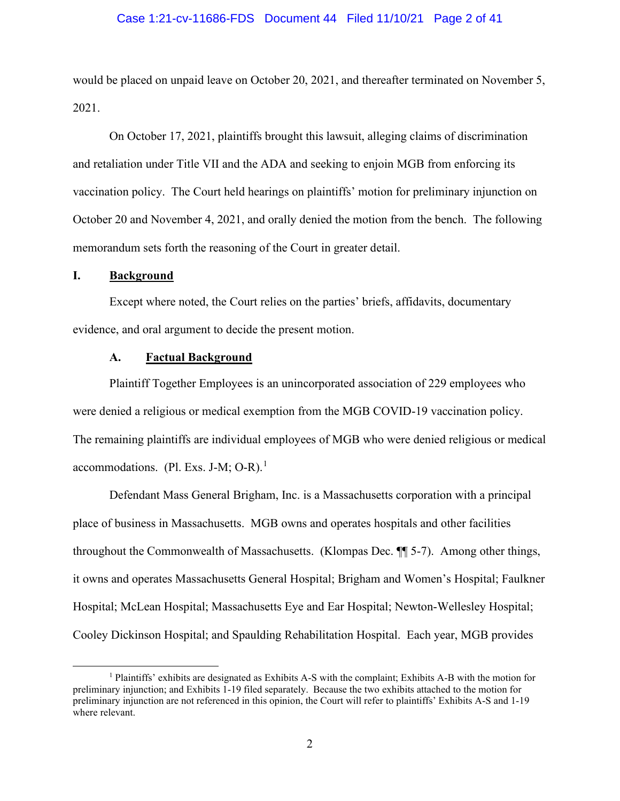#### Case 1:21-cv-11686-FDS Document 44 Filed 11/10/21 Page 2 of 41

would be placed on unpaid leave on October 20, 2021, and thereafter terminated on November 5, 2021.

On October 17, 2021, plaintiffs brought this lawsuit, alleging claims of discrimination and retaliation under Title VII and the ADA and seeking to enjoin MGB from enforcing its vaccination policy. The Court held hearings on plaintiffs' motion for preliminary injunction on October 20 and November 4, 2021, and orally denied the motion from the bench. The following memorandum sets forth the reasoning of the Court in greater detail.

# **I. Background**

Except where noted, the Court relies on the parties' briefs, affidavits, documentary evidence, and oral argument to decide the present motion.

# **A. Factual Background**

Plaintiff Together Employees is an unincorporated association of 229 employees who were denied a religious or medical exemption from the MGB COVID-19 vaccination policy. The remaining plaintiffs are individual employees of MGB who were denied religious or medical accommodations. (Pl. Exs. J-M; O-R). $<sup>1</sup>$  $<sup>1</sup>$  $<sup>1</sup>$ </sup>

Defendant Mass General Brigham, Inc. is a Massachusetts corporation with a principal place of business in Massachusetts. MGB owns and operates hospitals and other facilities throughout the Commonwealth of Massachusetts. (Klompas Dec. ¶¶ 5-7). Among other things, it owns and operates Massachusetts General Hospital; Brigham and Women's Hospital; Faulkner Hospital; McLean Hospital; Massachusetts Eye and Ear Hospital; Newton-Wellesley Hospital; Cooley Dickinson Hospital; and Spaulding Rehabilitation Hospital. Each year, MGB provides

<span id="page-1-0"></span><sup>1</sup> Plaintiffs' exhibits are designated as Exhibits A-S with the complaint; Exhibits A-B with the motion for preliminary injunction; and Exhibits 1-19 filed separately. Because the two exhibits attached to the motion for preliminary injunction are not referenced in this opinion, the Court will refer to plaintiffs' Exhibits A-S and 1-19 where relevant.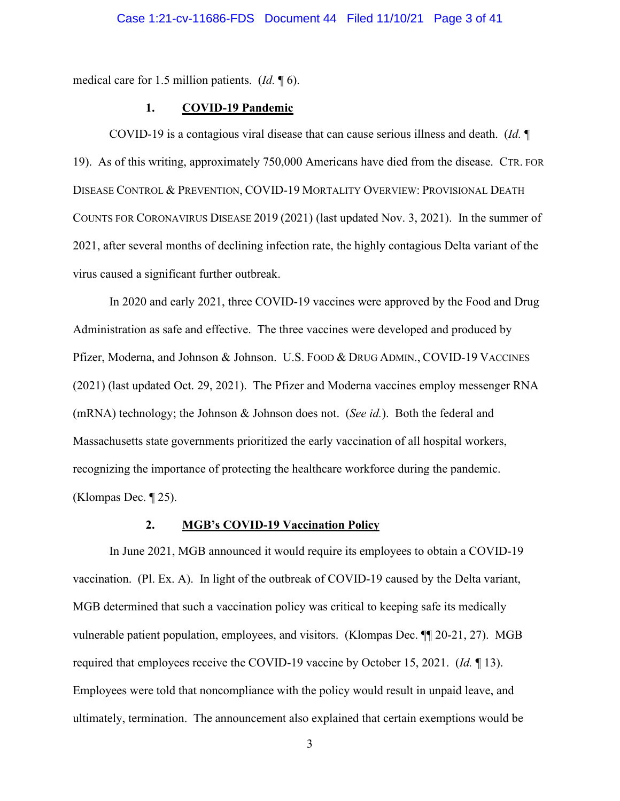medical care for 1.5 million patients. (*Id.* ¶ 6).

### **1. COVID-19 Pandemic**

COVID-19 is a contagious viral disease that can cause serious illness and death. (*Id.* ¶ 19). As of this writing, approximately 750,000 Americans have died from the disease. CTR. FOR DISEASE CONTROL & PREVENTION, COVID-19 MORTALITY OVERVIEW: PROVISIONAL DEATH COUNTS FOR CORONAVIRUS DISEASE 2019 (2021) (last updated Nov. 3, 2021). In the summer of 2021, after several months of declining infection rate, the highly contagious Delta variant of the virus caused a significant further outbreak.

In 2020 and early 2021, three COVID-19 vaccines were approved by the Food and Drug Administration as safe and effective. The three vaccines were developed and produced by Pfizer, Moderna, and Johnson & Johnson. U.S. FOOD & DRUG ADMIN., COVID-19 VACCINES (2021) (last updated Oct. 29, 2021). The Pfizer and Moderna vaccines employ messenger RNA (mRNA) technology; the Johnson & Johnson does not. (*See id.*). Both the federal and Massachusetts state governments prioritized the early vaccination of all hospital workers, recognizing the importance of protecting the healthcare workforce during the pandemic. (Klompas Dec. ¶ 25).

# **2. MGB's COVID-19 Vaccination Policy**

In June 2021, MGB announced it would require its employees to obtain a COVID-19 vaccination. (Pl. Ex. A). In light of the outbreak of COVID-19 caused by the Delta variant, MGB determined that such a vaccination policy was critical to keeping safe its medically vulnerable patient population, employees, and visitors. (Klompas Dec. ¶¶ 20-21, 27). MGB required that employees receive the COVID-19 vaccine by October 15, 2021. (*Id.* ¶ 13). Employees were told that noncompliance with the policy would result in unpaid leave, and ultimately, termination. The announcement also explained that certain exemptions would be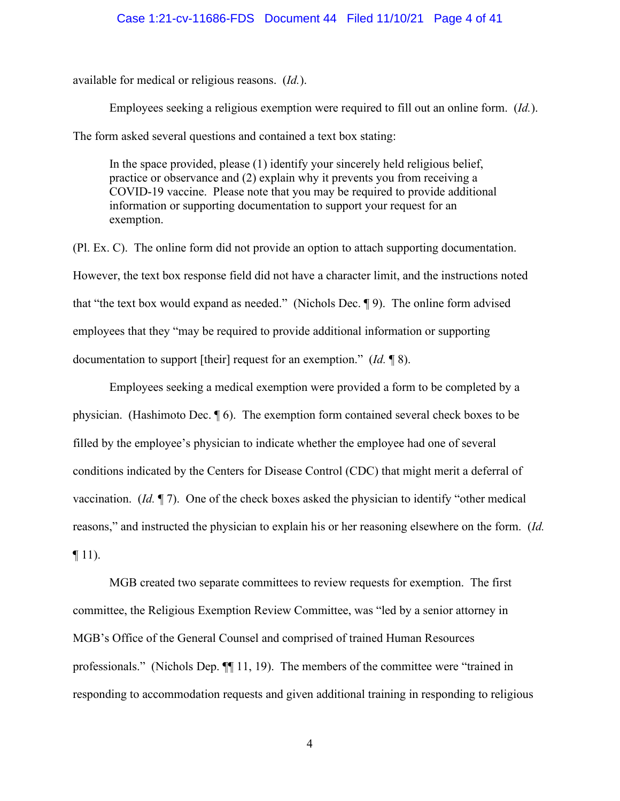#### Case 1:21-cv-11686-FDS Document 44 Filed 11/10/21 Page 4 of 41

available for medical or religious reasons. (*Id.*).

Employees seeking a religious exemption were required to fill out an online form. (*Id.*). The form asked several questions and contained a text box stating:

In the space provided, please (1) identify your sincerely held religious belief, practice or observance and (2) explain why it prevents you from receiving a COVID-19 vaccine. Please note that you may be required to provide additional information or supporting documentation to support your request for an exemption.

(Pl. Ex. C). The online form did not provide an option to attach supporting documentation. However, the text box response field did not have a character limit, and the instructions noted that "the text box would expand as needed." (Nichols Dec. ¶ 9). The online form advised employees that they "may be required to provide additional information or supporting documentation to support [their] request for an exemption." (*Id.* ¶ 8).

Employees seeking a medical exemption were provided a form to be completed by a physician. (Hashimoto Dec. ¶ 6). The exemption form contained several check boxes to be filled by the employee's physician to indicate whether the employee had one of several conditions indicated by the Centers for Disease Control (CDC) that might merit a deferral of vaccination. (*Id.* ¶ 7). One of the check boxes asked the physician to identify "other medical reasons," and instructed the physician to explain his or her reasoning elsewhere on the form. (*Id.*  $\P$  11).

MGB created two separate committees to review requests for exemption. The first committee, the Religious Exemption Review Committee, was "led by a senior attorney in MGB's Office of the General Counsel and comprised of trained Human Resources professionals." (Nichols Dep. ¶¶ 11, 19). The members of the committee were "trained in responding to accommodation requests and given additional training in responding to religious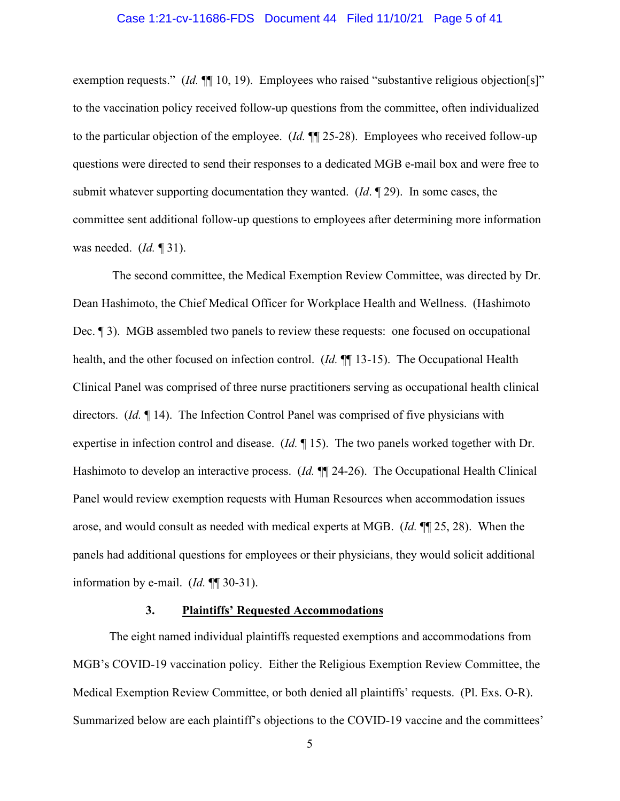### Case 1:21-cv-11686-FDS Document 44 Filed 11/10/21 Page 5 of 41

exemption requests." (*Id.*  $\P$ [10, 19). Employees who raised "substantive religious objection[s]" to the vaccination policy received follow-up questions from the committee, often individualized to the particular objection of the employee. (*Id.* ¶¶ 25-28). Employees who received follow-up questions were directed to send their responses to a dedicated MGB e-mail box and were free to submit whatever supporting documentation they wanted. (*Id*. ¶ 29). In some cases, the committee sent additional follow-up questions to employees after determining more information was needed. (*Id.* ¶ 31).

The second committee, the Medical Exemption Review Committee, was directed by Dr. Dean Hashimoto, the Chief Medical Officer for Workplace Health and Wellness. (Hashimoto Dec. ¶ 3). MGB assembled two panels to review these requests: one focused on occupational health, and the other focused on infection control. (*Id.*  $\P$  13-15). The Occupational Health Clinical Panel was comprised of three nurse practitioners serving as occupational health clinical directors. (*Id.* ¶ 14). The Infection Control Panel was comprised of five physicians with expertise in infection control and disease. (*Id.* ¶ 15). The two panels worked together with Dr. Hashimoto to develop an interactive process. (*Id.* ¶¶ 24-26). The Occupational Health Clinical Panel would review exemption requests with Human Resources when accommodation issues arose, and would consult as needed with medical experts at MGB. (*Id.* ¶¶ 25, 28). When the panels had additional questions for employees or their physicians, they would solicit additional information by e-mail. (*Id.* ¶¶ 30-31).

### **3. Plaintiffs' Requested Accommodations**

The eight named individual plaintiffs requested exemptions and accommodations from MGB's COVID-19 vaccination policy. Either the Religious Exemption Review Committee, the Medical Exemption Review Committee, or both denied all plaintiffs' requests. (Pl. Exs. O-R). Summarized below are each plaintiff's objections to the COVID-19 vaccine and the committees'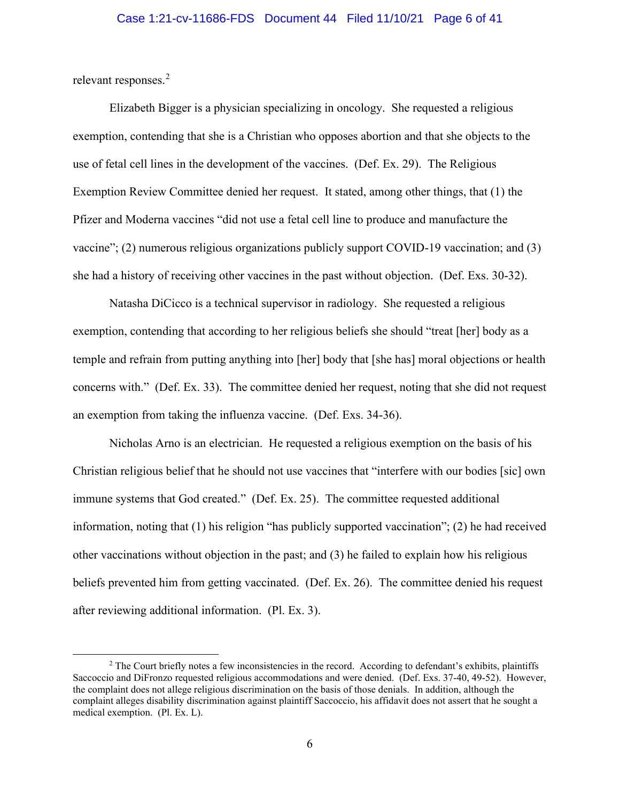relevant responses.<sup>[2](#page-5-0)</sup>

Elizabeth Bigger is a physician specializing in oncology. She requested a religious exemption, contending that she is a Christian who opposes abortion and that she objects to the use of fetal cell lines in the development of the vaccines. (Def. Ex. 29). The Religious Exemption Review Committee denied her request. It stated, among other things, that (1) the Pfizer and Moderna vaccines "did not use a fetal cell line to produce and manufacture the vaccine"; (2) numerous religious organizations publicly support COVID-19 vaccination; and (3) she had a history of receiving other vaccines in the past without objection. (Def. Exs. 30-32).

Natasha DiCicco is a technical supervisor in radiology. She requested a religious exemption, contending that according to her religious beliefs she should "treat [her] body as a temple and refrain from putting anything into [her] body that [she has] moral objections or health concerns with." (Def. Ex. 33). The committee denied her request, noting that she did not request an exemption from taking the influenza vaccine. (Def. Exs. 34-36).

Nicholas Arno is an electrician. He requested a religious exemption on the basis of his Christian religious belief that he should not use vaccines that "interfere with our bodies [sic] own immune systems that God created." (Def. Ex. 25). The committee requested additional information, noting that (1) his religion "has publicly supported vaccination"; (2) he had received other vaccinations without objection in the past; and (3) he failed to explain how his religious beliefs prevented him from getting vaccinated. (Def. Ex. 26). The committee denied his request after reviewing additional information. (Pl. Ex. 3).

<span id="page-5-0"></span><sup>&</sup>lt;sup>2</sup> The Court briefly notes a few inconsistencies in the record. According to defendant's exhibits, plaintiffs Saccoccio and DiFronzo requested religious accommodations and were denied. (Def. Exs. 37-40, 49-52). However, the complaint does not allege religious discrimination on the basis of those denials. In addition, although the complaint alleges disability discrimination against plaintiff Saccoccio, his affidavit does not assert that he sought a medical exemption. (Pl. Ex. L).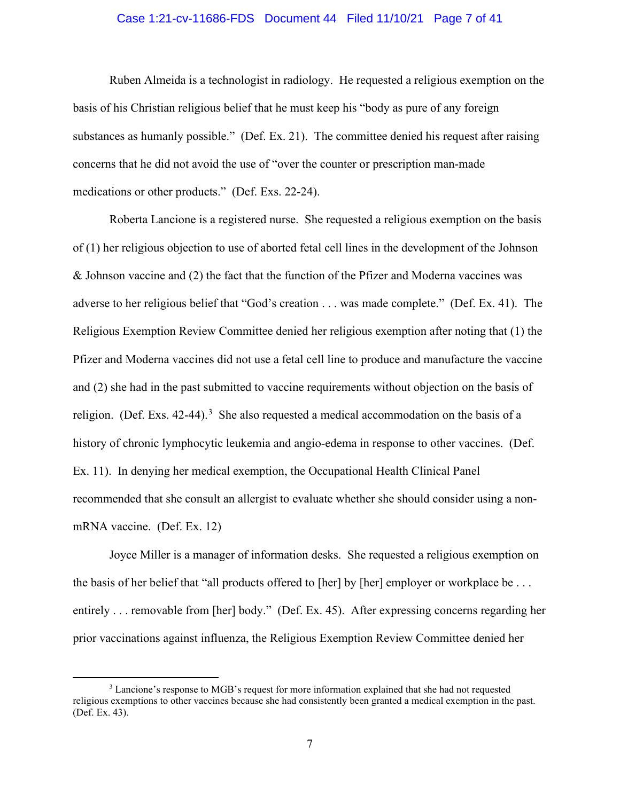### Case 1:21-cv-11686-FDS Document 44 Filed 11/10/21 Page 7 of 41

Ruben Almeida is a technologist in radiology. He requested a religious exemption on the basis of his Christian religious belief that he must keep his "body as pure of any foreign substances as humanly possible." (Def. Ex. 21). The committee denied his request after raising concerns that he did not avoid the use of "over the counter or prescription man-made medications or other products." (Def. Exs. 22-24).

Roberta Lancione is a registered nurse. She requested a religious exemption on the basis of (1) her religious objection to use of aborted fetal cell lines in the development of the Johnson & Johnson vaccine and (2) the fact that the function of the Pfizer and Moderna vaccines was adverse to her religious belief that "God's creation . . . was made complete." (Def. Ex. 41). The Religious Exemption Review Committee denied her religious exemption after noting that (1) the Pfizer and Moderna vaccines did not use a fetal cell line to produce and manufacture the vaccine and (2) she had in the past submitted to vaccine requirements without objection on the basis of religion. (Def. Exs. 42-44).<sup>[3](#page-6-0)</sup> She also requested a medical accommodation on the basis of a history of chronic lymphocytic leukemia and angio-edema in response to other vaccines. (Def. Ex. 11). In denying her medical exemption, the Occupational Health Clinical Panel recommended that she consult an allergist to evaluate whether she should consider using a nonmRNA vaccine. (Def. Ex. 12)

Joyce Miller is a manager of information desks. She requested a religious exemption on the basis of her belief that "all products offered to [her] by [her] employer or workplace be ... entirely . . . removable from [her] body." (Def. Ex. 45). After expressing concerns regarding her prior vaccinations against influenza, the Religious Exemption Review Committee denied her

<span id="page-6-0"></span><sup>3</sup> Lancione's response to MGB's request for more information explained that she had not requested religious exemptions to other vaccines because she had consistently been granted a medical exemption in the past. (Def. Ex. 43).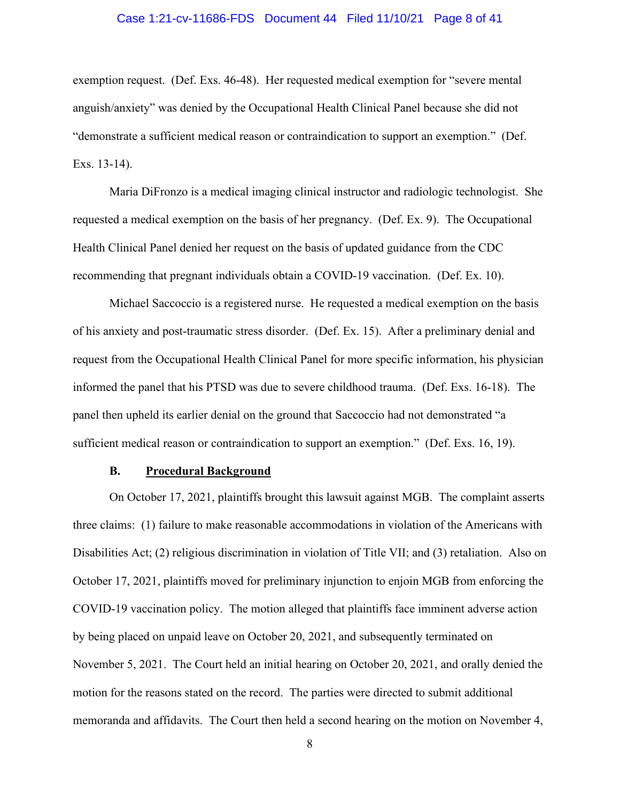#### Case 1:21-cv-11686-FDS Document 44 Filed 11/10/21 Page 8 of 41

exemption request. (Def. Exs. 46-48). Her requested medical exemption for "severe mental anguish/anxiety" was denied by the Occupational Health Clinical Panel because she did not "demonstrate a sufficient medical reason or contraindication to support an exemption." (Def. Exs. 13-14).

Maria DiFronzo is a medical imaging clinical instructor and radiologic technologist. She requested a medical exemption on the basis of her pregnancy. (Def. Ex. 9). The Occupational Health Clinical Panel denied her request on the basis of updated guidance from the CDC recommending that pregnant individuals obtain a COVID-19 vaccination. (Def. Ex. 10).

Michael Saccoccio is a registered nurse. He requested a medical exemption on the basis of his anxiety and post-traumatic stress disorder. (Def. Ex. 15). After a preliminary denial and request from the Occupational Health Clinical Panel for more specific information, his physician informed the panel that his PTSD was due to severe childhood trauma. (Def. Exs. 16-18). The panel then upheld its earlier denial on the ground that Saccoccio had not demonstrated "a sufficient medical reason or contraindication to support an exemption." (Def. Exs. 16, 19).

#### **B. Procedural Background**

On October 17, 2021, plaintiffs brought this lawsuit against MGB. The complaint asserts three claims: (1) failure to make reasonable accommodations in violation of the Americans with Disabilities Act; (2) religious discrimination in violation of Title VII; and (3) retaliation. Also on October 17, 2021, plaintiffs moved for preliminary injunction to enjoin MGB from enforcing the COVID-19 vaccination policy. The motion alleged that plaintiffs face imminent adverse action by being placed on unpaid leave on October 20, 2021, and subsequently terminated on November 5, 2021. The Court held an initial hearing on October 20, 2021, and orally denied the motion for the reasons stated on the record. The parties were directed to submit additional memoranda and affidavits. The Court then held a second hearing on the motion on November 4,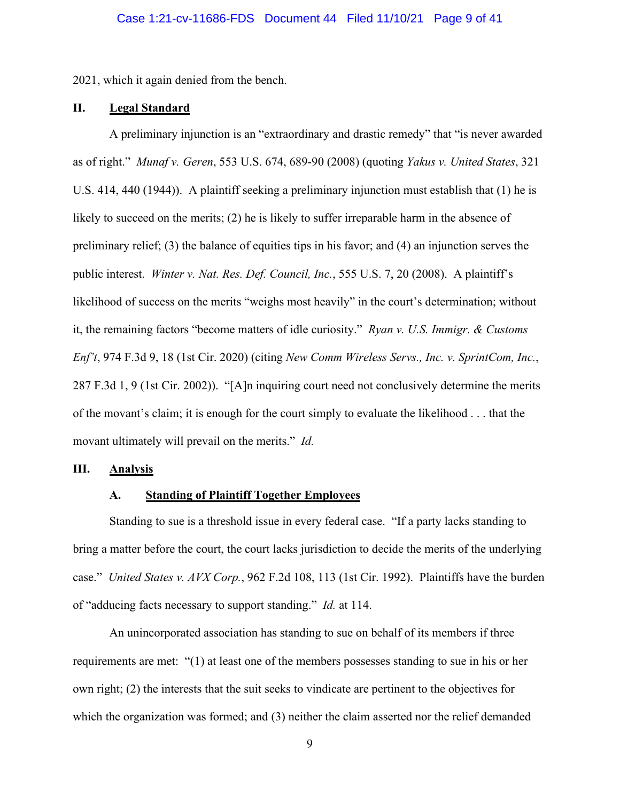2021, which it again denied from the bench.

# **II. Legal Standard**

A preliminary injunction is an "extraordinary and drastic remedy" that "is never awarded as of right." *Munaf v. Geren*, 553 U.S. 674, 689-90 (2008) (quoting *Yakus v. United States*, 321 U.S. 414, 440 (1944)). A plaintiff seeking a preliminary injunction must establish that (1) he is likely to succeed on the merits; (2) he is likely to suffer irreparable harm in the absence of preliminary relief; (3) the balance of equities tips in his favor; and (4) an injunction serves the public interest. *Winter v. Nat. Res. Def. Council, Inc.*, 555 U.S. 7, 20 (2008). A plaintiff's likelihood of success on the merits "weighs most heavily" in the court's determination; without it, the remaining factors "become matters of idle curiosity." *Ryan v. U.S. Immigr. & Customs Enf't*, 974 F.3d 9, 18 (1st Cir. 2020) (citing *New Comm Wireless Servs., Inc. v. SprintCom, Inc.*, 287 F.3d 1, 9 (1st Cir. 2002)). "[A]n inquiring court need not conclusively determine the merits of the movant's claim; it is enough for the court simply to evaluate the likelihood . . . that the movant ultimately will prevail on the merits." *Id.* 

# **III. Analysis**

# **A. Standing of Plaintiff Together Employees**

Standing to sue is a threshold issue in every federal case. "If a party lacks standing to bring a matter before the court, the court lacks jurisdiction to decide the merits of the underlying case." *United States v. AVX Corp.*, 962 F.2d 108, 113 (1st Cir. 1992). Plaintiffs have the burden of "adducing facts necessary to support standing." *Id.* at 114.

An unincorporated association has standing to sue on behalf of its members if three requirements are met: "(1) at least one of the members possesses standing to sue in his or her own right; (2) the interests that the suit seeks to vindicate are pertinent to the objectives for which the organization was formed; and (3) neither the claim asserted nor the relief demanded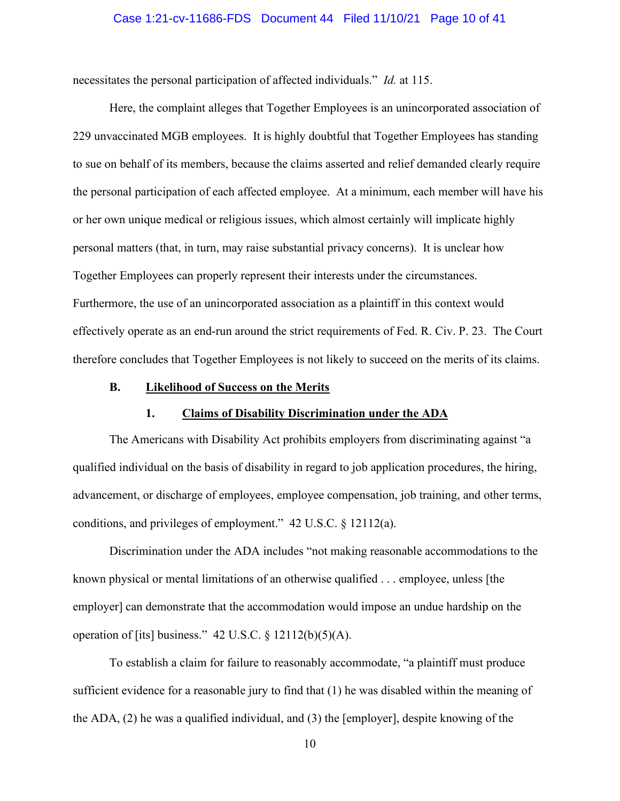#### Case 1:21-cv-11686-FDS Document 44 Filed 11/10/21 Page 10 of 41

necessitates the personal participation of affected individuals." *Id.* at 115.

Here, the complaint alleges that Together Employees is an unincorporated association of 229 unvaccinated MGB employees. It is highly doubtful that Together Employees has standing to sue on behalf of its members, because the claims asserted and relief demanded clearly require the personal participation of each affected employee. At a minimum, each member will have his or her own unique medical or religious issues, which almost certainly will implicate highly personal matters (that, in turn, may raise substantial privacy concerns). It is unclear how Together Employees can properly represent their interests under the circumstances. Furthermore, the use of an unincorporated association as a plaintiff in this context would effectively operate as an end-run around the strict requirements of Fed. R. Civ. P. 23. The Court therefore concludes that Together Employees is not likely to succeed on the merits of its claims.

### **B. Likelihood of Success on the Merits**

# **1. Claims of Disability Discrimination under the ADA**

The Americans with Disability Act prohibits employers from discriminating against "a qualified individual on the basis of disability in regard to job application procedures, the hiring, advancement, or discharge of employees, employee compensation, job training, and other terms, conditions, and privileges of employment." 42 U.S.C. § 12112(a).

Discrimination under the ADA includes "not making reasonable accommodations to the known physical or mental limitations of an otherwise qualified . . . employee, unless [the employer] can demonstrate that the accommodation would impose an undue hardship on the operation of [its] business." 42 U.S.C. § 12112(b)(5)(A).

To establish a claim for failure to reasonably accommodate, "a plaintiff must produce sufficient evidence for a reasonable jury to find that (1) he was disabled within the meaning of the ADA, (2) he was a qualified individual, and (3) the [employer], despite knowing of the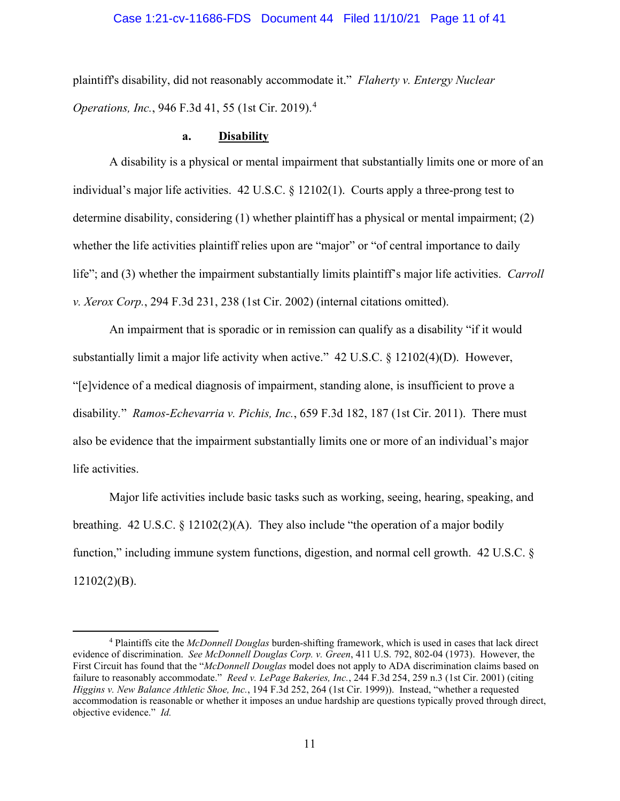### Case 1:21-cv-11686-FDS Document 44 Filed 11/10/21 Page 11 of 41

plaintiff's disability, did not reasonably accommodate it." *Flaherty v. Entergy Nuclear Operations, Inc.*, 946 F.3d 41, 55 (1st Cir. 2019).[4](#page-10-0)

#### **a. Disability**

A disability is a physical or mental impairment that substantially limits one or more of an individual's major life activities. 42 U.S.C. § 12102(1). Courts apply a three-prong test to determine disability, considering (1) whether plaintiff has a physical or mental impairment; (2) whether the life activities plaintiff relies upon are "major" or "of central importance to daily life"; and (3) whether the impairment substantially limits plaintiff's major life activities. *Carroll v. Xerox Corp.*, 294 F.3d 231, 238 (1st Cir. 2002) (internal citations omitted).

An impairment that is sporadic or in remission can qualify as a disability "if it would substantially limit a major life activity when active." 42 U.S.C. § 12102(4)(D). However, "[e]vidence of a medical diagnosis of impairment, standing alone, is insufficient to prove a disability*.*" *Ramos-Echevarria v. Pichis, Inc.*, 659 F.3d 182, 187 (1st Cir. 2011). There must also be evidence that the impairment substantially limits one or more of an individual's major life activities.

Major life activities include basic tasks such as working, seeing, hearing, speaking, and breathing. 42 U.S.C. § 12102(2)(A). They also include "the operation of a major bodily function," including immune system functions, digestion, and normal cell growth. 42 U.S.C. §  $12102(2)(B)$ .

<span id="page-10-0"></span><sup>4</sup> Plaintiffs cite the *McDonnell Douglas* burden-shifting framework, which is used in cases that lack direct evidence of discrimination. *See McDonnell Douglas Corp. v. Green*, 411 U.S. 792, 802-04 (1973). However, the First Circuit has found that the "*McDonnell Douglas* model does not apply to ADA discrimination claims based on failure to reasonably accommodate." *Reed v. LePage Bakeries, Inc.*, 244 F.3d 254, 259 n.3 (1st Cir. 2001) (citing *Higgins v. New Balance Athletic Shoe, Inc.*, 194 F.3d 252, 264 (1st Cir. 1999)). Instead, "whether a requested accommodation is reasonable or whether it imposes an undue hardship are questions typically proved through direct, objective evidence." *Id.*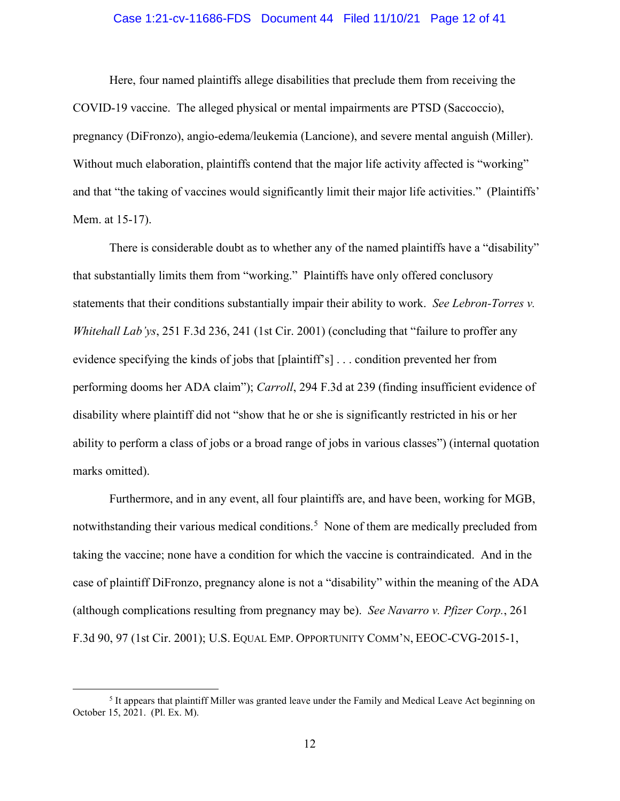### Case 1:21-cv-11686-FDS Document 44 Filed 11/10/21 Page 12 of 41

Here, four named plaintiffs allege disabilities that preclude them from receiving the COVID-19 vaccine. The alleged physical or mental impairments are PTSD (Saccoccio), pregnancy (DiFronzo), angio-edema/leukemia (Lancione), and severe mental anguish (Miller). Without much elaboration, plaintiffs contend that the major life activity affected is "working" and that "the taking of vaccines would significantly limit their major life activities." (Plaintiffs' Mem. at 15-17).

There is considerable doubt as to whether any of the named plaintiffs have a "disability" that substantially limits them from "working." Plaintiffs have only offered conclusory statements that their conditions substantially impair their ability to work. *See Lebron-Torres v. Whitehall Lab'ys*, 251 F.3d 236, 241 (1st Cir. 2001) (concluding that "failure to proffer any evidence specifying the kinds of jobs that [plaintiff's] . . . condition prevented her from performing dooms her ADA claim"); *Carroll*, 294 F.3d at 239 (finding insufficient evidence of disability where plaintiff did not "show that he or she is significantly restricted in his or her ability to perform a class of jobs or a broad range of jobs in various classes") (internal quotation marks omitted).

Furthermore, and in any event, all four plaintiffs are, and have been, working for MGB, notwithstanding their various medical conditions.<sup>[5](#page-11-0)</sup> None of them are medically precluded from taking the vaccine; none have a condition for which the vaccine is contraindicated. And in the case of plaintiff DiFronzo, pregnancy alone is not a "disability" within the meaning of the ADA (although complications resulting from pregnancy may be). *See Navarro v. Pfizer Corp.*, 261 F.3d 90, 97 (1st Cir. 2001); U.S. EQUAL EMP. OPPORTUNITY COMM'N, EEOC-CVG-2015-1,

<span id="page-11-0"></span><sup>&</sup>lt;sup>5</sup> It appears that plaintiff Miller was granted leave under the Family and Medical Leave Act beginning on October 15, 2021. (Pl. Ex. M).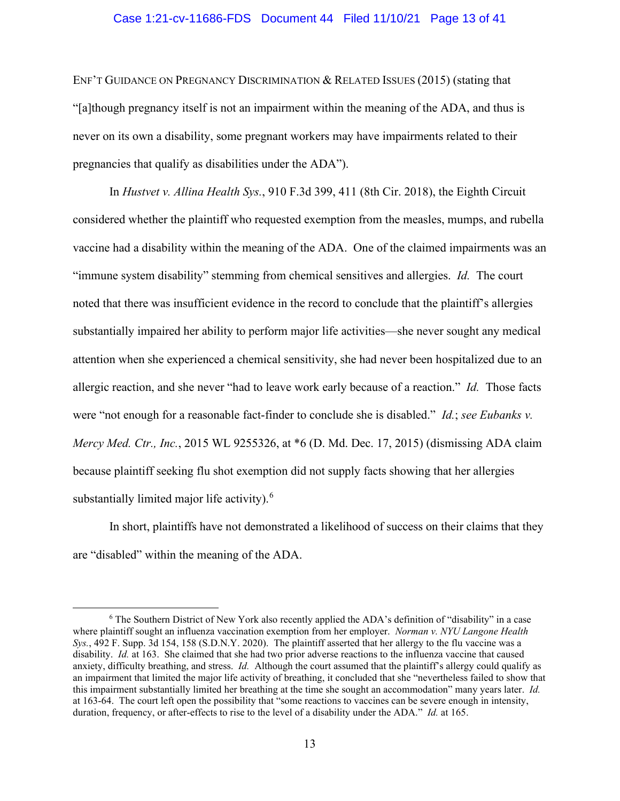### Case 1:21-cv-11686-FDS Document 44 Filed 11/10/21 Page 13 of 41

ENF'T GUIDANCE ON PREGNANCY DISCRIMINATION & RELATED ISSUES (2015) (stating that "[a]though pregnancy itself is not an impairment within the meaning of the ADA, and thus is never on its own a disability, some pregnant workers may have impairments related to their pregnancies that qualify as disabilities under the ADA").

In *Hustvet v. Allina Health Sys.*, 910 F.3d 399, 411 (8th Cir. 2018), the Eighth Circuit considered whether the plaintiff who requested exemption from the measles, mumps, and rubella vaccine had a disability within the meaning of the ADA. One of the claimed impairments was an "immune system disability" stemming from chemical sensitives and allergies. *Id.* The court noted that there was insufficient evidence in the record to conclude that the plaintiff's allergies substantially impaired her ability to perform major life activities—she never sought any medical attention when she experienced a chemical sensitivity, she had never been hospitalized due to an allergic reaction, and she never "had to leave work early because of a reaction." *Id.* Those facts were "not enough for a reasonable fact-finder to conclude she is disabled." *Id.*; *see Eubanks v. Mercy Med. Ctr., Inc.*, 2015 WL 9255326, at \*6 (D. Md. Dec. 17, 2015) (dismissing ADA claim because plaintiff seeking flu shot exemption did not supply facts showing that her allergies substantially limited major life activity).<sup>[6](#page-12-0)</sup>

In short, plaintiffs have not demonstrated a likelihood of success on their claims that they are "disabled" within the meaning of the ADA.

<span id="page-12-0"></span><sup>6</sup> The Southern District of New York also recently applied the ADA's definition of "disability" in a case where plaintiff sought an influenza vaccination exemption from her employer. *Norman v. NYU Langone Health Sys.*, 492 F. Supp. 3d 154, 158 (S.D.N.Y. 2020). The plaintiff asserted that her allergy to the flu vaccine was a disability. *Id.* at 163. She claimed that she had two prior adverse reactions to the influenza vaccine that caused anxiety, difficulty breathing, and stress. *Id.* Although the court assumed that the plaintiff's allergy could qualify as an impairment that limited the major life activity of breathing, it concluded that she "nevertheless failed to show that this impairment substantially limited her breathing at the time she sought an accommodation" many years later. *Id.*  at 163-64. The court left open the possibility that "some reactions to vaccines can be severe enough in intensity, duration, frequency, or after-effects to rise to the level of a disability under the ADA." *Id.* at 165.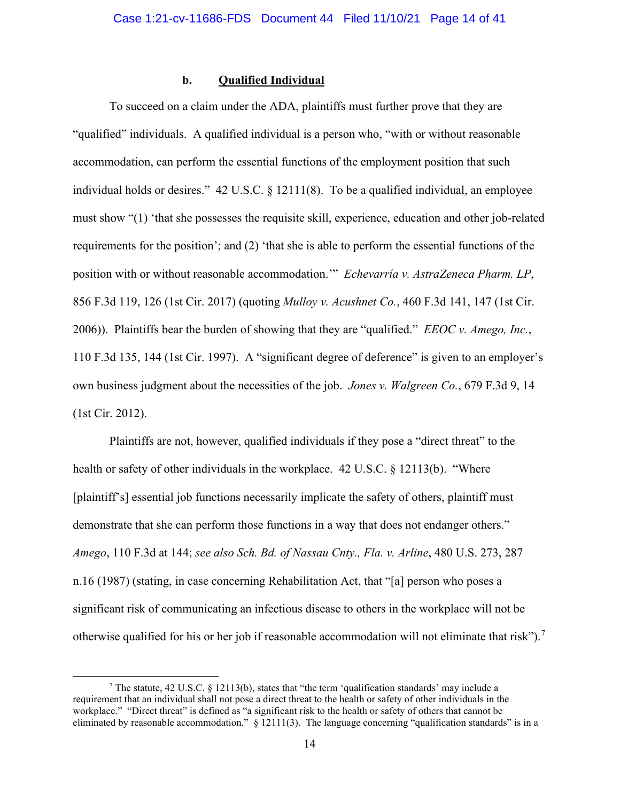# **b. Qualified Individual**

To succeed on a claim under the ADA, plaintiffs must further prove that they are "qualified" individuals. A qualified individual is a person who, "with or without reasonable accommodation, can perform the essential functions of the employment position that such individual holds or desires." 42 U.S.C. § 12111(8). To be a qualified individual, an employee must show "(1) 'that she possesses the requisite skill, experience, education and other job-related requirements for the position'; and (2) 'that she is able to perform the essential functions of the position with or without reasonable accommodation.'" *Echevarría v. AstraZeneca Pharm. LP*, 856 F.3d 119, 126 (1st Cir. 2017) (quoting *Mulloy v. Acushnet Co.*, 460 F.3d 141, 147 (1st Cir. 2006)). Plaintiffs bear the burden of showing that they are "qualified." *EEOC v. Amego, Inc.*, 110 F.3d 135, 144 (1st Cir. 1997). A "significant degree of deference" is given to an employer's own business judgment about the necessities of the job. *Jones v. Walgreen Co.*, 679 F.3d 9, 14 (1st Cir. 2012).

Plaintiffs are not, however, qualified individuals if they pose a "direct threat" to the health or safety of other individuals in the workplace. 42 U.S.C. § 12113(b). "Where [plaintiff's] essential job functions necessarily implicate the safety of others, plaintiff must demonstrate that she can perform those functions in a way that does not endanger others." *Amego*, 110 F.3d at 144; *see also Sch. Bd. of Nassau Cnty., Fla. v. Arline*, 480 U.S. 273, 287 n.16 (1987) (stating, in case concerning Rehabilitation Act, that "[a] person who poses a significant risk of communicating an infectious disease to others in the workplace will not be otherwise qualified for his or her job if reasonable accommodation will not eliminate that risk").<sup>[7](#page-13-0)</sup>

<span id="page-13-0"></span><sup>&</sup>lt;sup>7</sup> The statute, 42 U.S.C. § 12113(b), states that "the term 'qualification standards' may include a requirement that an individual shall not pose a direct threat to the health or safety of other individuals in the workplace." "Direct threat" is defined as "a significant risk to the health or safety of others that cannot be eliminated by reasonable accommodation." § 12111(3). The language concerning "qualification standards" is in a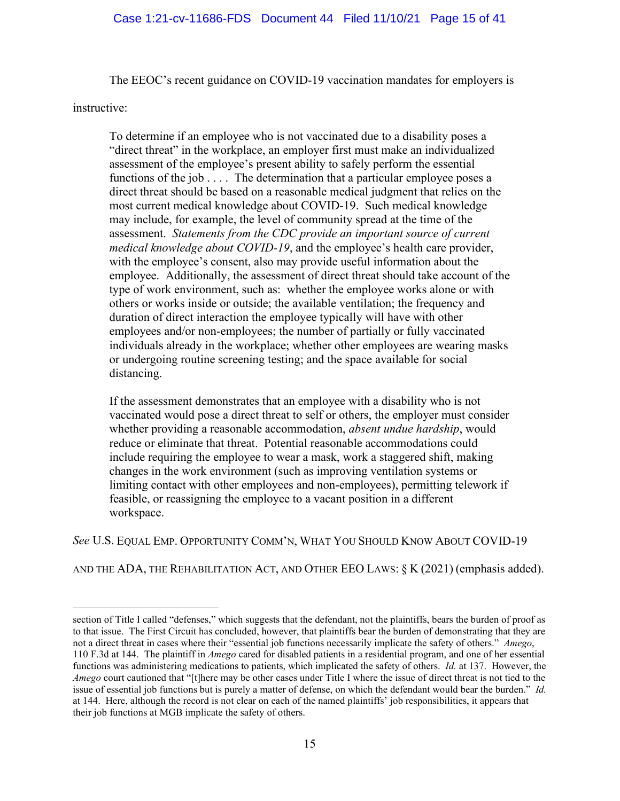The EEOC's recent guidance on COVID-19 vaccination mandates for employers is

instructive:

To determine if an employee who is not vaccinated due to a disability poses a "direct threat" in the workplace, an employer first must make an individualized assessment of the employee's present ability to safely perform the essential functions of the job  $\dots$ . The determination that a particular employee poses a direct threat should be based on a reasonable medical judgment that relies on the most current medical knowledge about COVID-19. Such medical knowledge may include, for example, the level of community spread at the time of the assessment. *Statements from the CDC provide an important source of current medical knowledge about COVID-19*, and the employee's health care provider, with the employee's consent, also may provide useful information about the employee. Additionally, the assessment of direct threat should take account of the type of work environment, such as: whether the employee works alone or with others or works inside or outside; the available ventilation; the frequency and duration of direct interaction the employee typically will have with other employees and/or non-employees; the number of partially or fully vaccinated individuals already in the workplace; whether other employees are wearing masks or undergoing routine screening testing; and the space available for social distancing.

If the assessment demonstrates that an employee with a disability who is not vaccinated would pose a direct threat to self or others, the employer must consider whether providing a reasonable accommodation, *absent undue hardship*, would reduce or eliminate that threat. Potential reasonable accommodations could include requiring the employee to wear a mask, work a staggered shift, making changes in the work environment (such as improving ventilation systems or limiting contact with other employees and non-employees), permitting telework if feasible, or reassigning the employee to a vacant position in a different workspace.

*See* U.S. EQUAL EMP. OPPORTUNITY COMM'N, WHAT YOU SHOULD KNOW ABOUT COVID-19

AND THE ADA, THE REHABILITATION ACT, AND OTHER EEO LAWS: § K (2021) (emphasis added).

section of Title I called "defenses," which suggests that the defendant, not the plaintiffs, bears the burden of proof as to that issue. The First Circuit has concluded, however, that plaintiffs bear the burden of demonstrating that they are not a direct threat in cases where their "essential job functions necessarily implicate the safety of others." *Amego*, 110 F.3d at 144. The plaintiff in *Amego* cared for disabled patients in a residential program, and one of her essential functions was administering medications to patients, which implicated the safety of others. *Id.* at 137. However, the *Amego* court cautioned that "[t]here may be other cases under Title I where the issue of direct threat is not tied to the issue of essential job functions but is purely a matter of defense, on which the defendant would bear the burden." *Id.*  at 144. Here, although the record is not clear on each of the named plaintiffs' job responsibilities, it appears that their job functions at MGB implicate the safety of others.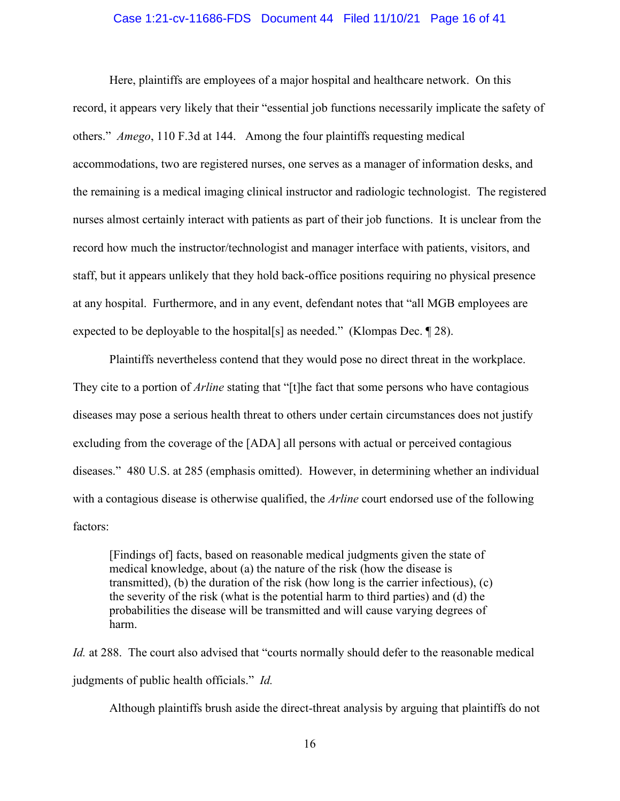### Case 1:21-cv-11686-FDS Document 44 Filed 11/10/21 Page 16 of 41

Here, plaintiffs are employees of a major hospital and healthcare network. On this record, it appears very likely that their "essential job functions necessarily implicate the safety of others." *Amego*, 110 F.3d at 144. Among the four plaintiffs requesting medical accommodations, two are registered nurses, one serves as a manager of information desks, and the remaining is a medical imaging clinical instructor and radiologic technologist. The registered nurses almost certainly interact with patients as part of their job functions. It is unclear from the record how much the instructor/technologist and manager interface with patients, visitors, and staff, but it appears unlikely that they hold back-office positions requiring no physical presence at any hospital. Furthermore, and in any event, defendant notes that "all MGB employees are expected to be deployable to the hospital[s] as needed." (Klompas Dec. ¶ 28).

Plaintiffs nevertheless contend that they would pose no direct threat in the workplace. They cite to a portion of *Arline* stating that "[t]he fact that some persons who have contagious diseases may pose a serious health threat to others under certain circumstances does not justify excluding from the coverage of the [ADA] all persons with actual or perceived contagious diseases." 480 U.S. at 285 (emphasis omitted). However, in determining whether an individual with a contagious disease is otherwise qualified, the *Arline* court endorsed use of the following factors:

[Findings of] facts, based on reasonable medical judgments given the state of medical knowledge, about (a) the nature of the risk (how the disease is transmitted), (b) the duration of the risk (how long is the carrier infectious), (c) the severity of the risk (what is the potential harm to third parties) and (d) the probabilities the disease will be transmitted and will cause varying degrees of harm.

*Id.* at 288. The court also advised that "courts normally should defer to the reasonable medical judgments of public health officials." *Id.* 

Although plaintiffs brush aside the direct-threat analysis by arguing that plaintiffs do not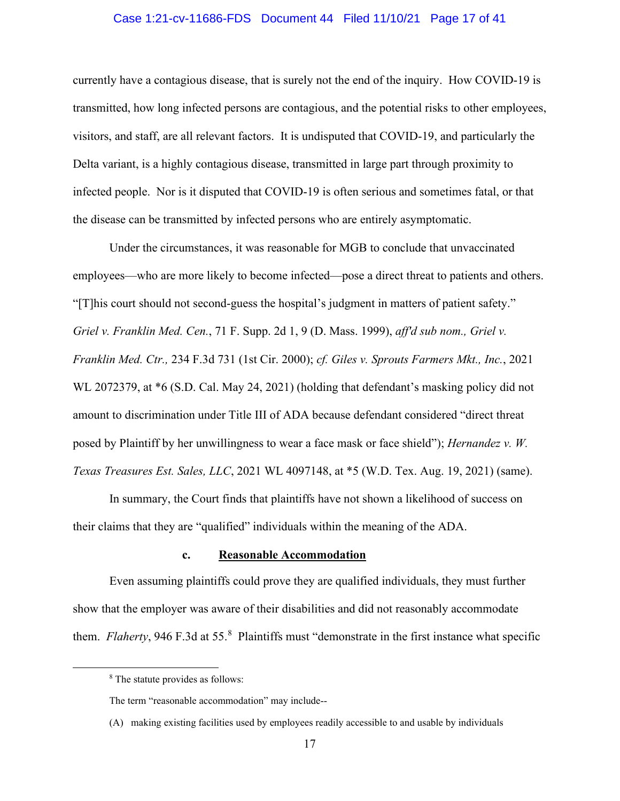### Case 1:21-cv-11686-FDS Document 44 Filed 11/10/21 Page 17 of 41

currently have a contagious disease, that is surely not the end of the inquiry. How COVID-19 is transmitted, how long infected persons are contagious, and the potential risks to other employees, visitors, and staff, are all relevant factors. It is undisputed that COVID-19, and particularly the Delta variant, is a highly contagious disease, transmitted in large part through proximity to infected people. Nor is it disputed that COVID-19 is often serious and sometimes fatal, or that the disease can be transmitted by infected persons who are entirely asymptomatic.

Under the circumstances, it was reasonable for MGB to conclude that unvaccinated employees—who are more likely to become infected—pose a direct threat to patients and others. "[T]his court should not second-guess the hospital's judgment in matters of patient safety." *Griel v. Franklin Med. Cen.*, 71 F. Supp. 2d 1, 9 (D. Mass. 1999), *aff'd sub nom., Griel v. Franklin Med. Ctr.,* 234 F.3d 731 (1st Cir. 2000); *cf. Giles v. Sprouts Farmers Mkt., Inc.*, 2021 WL 2072379, at \*6 (S.D. Cal. May 24, 2021) (holding that defendant's masking policy did not amount to discrimination under Title III of ADA because defendant considered "direct threat posed by Plaintiff by her unwillingness to wear a face mask or face shield"); *Hernandez v. W. Texas Treasures Est. Sales, LLC*, 2021 WL 4097148, at \*5 (W.D. Tex. Aug. 19, 2021) (same).

In summary, the Court finds that plaintiffs have not shown a likelihood of success on their claims that they are "qualified" individuals within the meaning of the ADA.

# **c. Reasonable Accommodation**

Even assuming plaintiffs could prove they are qualified individuals, they must further show that the employer was aware of their disabilities and did not reasonably accommodate them. *Flaherty*, 946 F.3d at 55.<sup>[8](#page-16-0)</sup> Plaintiffs must "demonstrate in the first instance what specific

<span id="page-16-0"></span><sup>8</sup> The statute provides as follows:

The term "reasonable accommodation" may include--

<sup>(</sup>A) making existing facilities used by employees readily accessible to and usable by individuals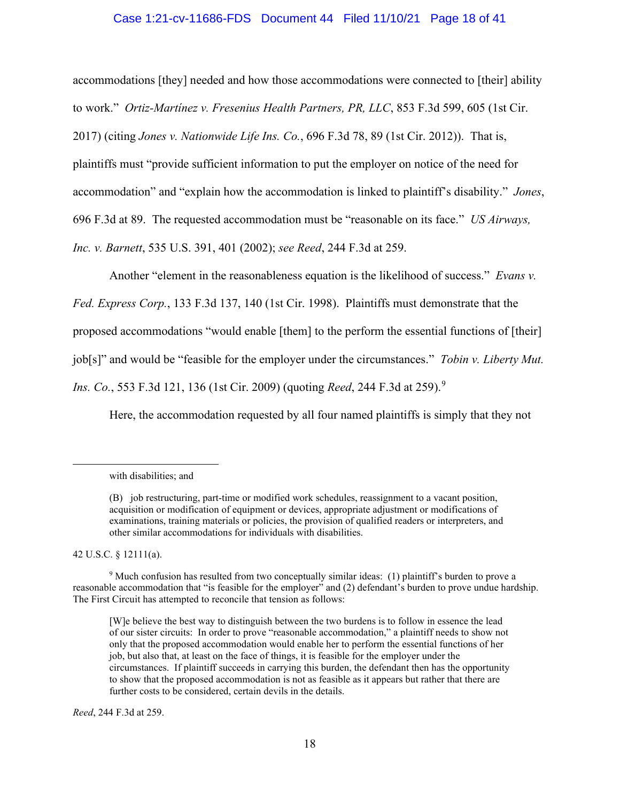### Case 1:21-cv-11686-FDS Document 44 Filed 11/10/21 Page 18 of 41

accommodations [they] needed and how those accommodations were connected to [their] ability to work." *Ortiz-Martínez v. Fresenius Health Partners, PR, LLC*, 853 F.3d 599, 605 (1st Cir.

2017) (citing *Jones v. Nationwide Life Ins. Co.*, 696 F.3d 78, 89 (1st Cir. 2012)). That is,

plaintiffs must "provide sufficient information to put the employer on notice of the need for

accommodation" and "explain how the accommodation is linked to plaintiff's disability." *Jones*,

696 F.3d at 89. The requested accommodation must be "reasonable on its face." *US Airways,* 

*Inc. v. Barnett*, 535 U.S. 391, 401 (2002); *see Reed*, 244 F.3d at 259.

Another "element in the reasonableness equation is the likelihood of success." *Evans v.* 

*Fed. Express Corp.*, 133 F.3d 137, 140 (1st Cir. 1998). Plaintiffs must demonstrate that the

proposed accommodations "would enable [them] to the perform the essential functions of [their]

job[s]" and would be "feasible for the employer under the circumstances." *Tobin v. Liberty Mut.* 

*Ins. Co.*, 553 F.3d 121, 136 (1st Cir. 200[9](#page-17-0)) (quoting *Reed*, 244 F.3d at 259).<sup>9</sup>

Here, the accommodation requested by all four named plaintiffs is simply that they not

42 U.S.C. § 12111(a).

*Reed*, 244 F.3d at 259.

with disabilities; and

<sup>(</sup>B) job restructuring, part-time or modified work schedules, reassignment to a vacant position, acquisition or modification of equipment or devices, appropriate adjustment or modifications of examinations, training materials or policies, the provision of qualified readers or interpreters, and other similar accommodations for individuals with disabilities.

<span id="page-17-0"></span><sup>9</sup> Much confusion has resulted from two conceptually similar ideas: (1) plaintiff's burden to prove a reasonable accommodation that "is feasible for the employer" and (2) defendant's burden to prove undue hardship. The First Circuit has attempted to reconcile that tension as follows:

<sup>[</sup>W]e believe the best way to distinguish between the two burdens is to follow in essence the lead of our sister circuits: In order to prove "reasonable accommodation," a plaintiff needs to show not only that the proposed accommodation would enable her to perform the essential functions of her job, but also that, at least on the face of things, it is feasible for the employer under the circumstances. If plaintiff succeeds in carrying this burden, the defendant then has the opportunity to show that the proposed accommodation is not as feasible as it appears but rather that there are further costs to be considered, certain devils in the details.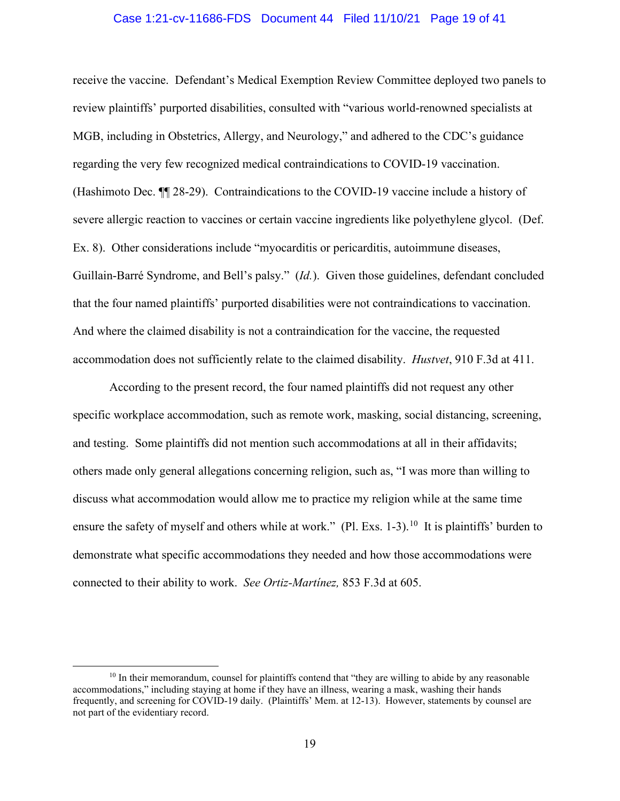#### Case 1:21-cv-11686-FDS Document 44 Filed 11/10/21 Page 19 of 41

receive the vaccine. Defendant's Medical Exemption Review Committee deployed two panels to review plaintiffs' purported disabilities, consulted with "various world-renowned specialists at MGB, including in Obstetrics, Allergy, and Neurology," and adhered to the CDC's guidance regarding the very few recognized medical contraindications to COVID-19 vaccination. (Hashimoto Dec. ¶¶ 28-29). Contraindications to the COVID-19 vaccine include a history of severe allergic reaction to vaccines or certain vaccine ingredients like polyethylene glycol. (Def. Ex. 8). Other considerations include "myocarditis or pericarditis, autoimmune diseases, Guillain-Barré Syndrome, and Bell's palsy." (*Id.*). Given those guidelines, defendant concluded that the four named plaintiffs' purported disabilities were not contraindications to vaccination. And where the claimed disability is not a contraindication for the vaccine, the requested accommodation does not sufficiently relate to the claimed disability. *Hustvet*, 910 F.3d at 411.

According to the present record, the four named plaintiffs did not request any other specific workplace accommodation, such as remote work, masking, social distancing, screening, and testing. Some plaintiffs did not mention such accommodations at all in their affidavits; others made only general allegations concerning religion, such as, "I was more than willing to discuss what accommodation would allow me to practice my religion while at the same time ensure the safety of myself and others while at work." (Pl. Exs. 1-3).<sup>10</sup> It is plaintiffs' burden to demonstrate what specific accommodations they needed and how those accommodations were connected to their ability to work. *See Ortiz-Martínez,* 853 F.3d at 605.

<span id="page-18-0"></span> $10$  In their memorandum, counsel for plaintiffs contend that "they are willing to abide by any reasonable accommodations," including staying at home if they have an illness, wearing a mask, washing their hands frequently, and screening for COVID-19 daily. (Plaintiffs' Mem. at 12-13). However, statements by counsel are not part of the evidentiary record.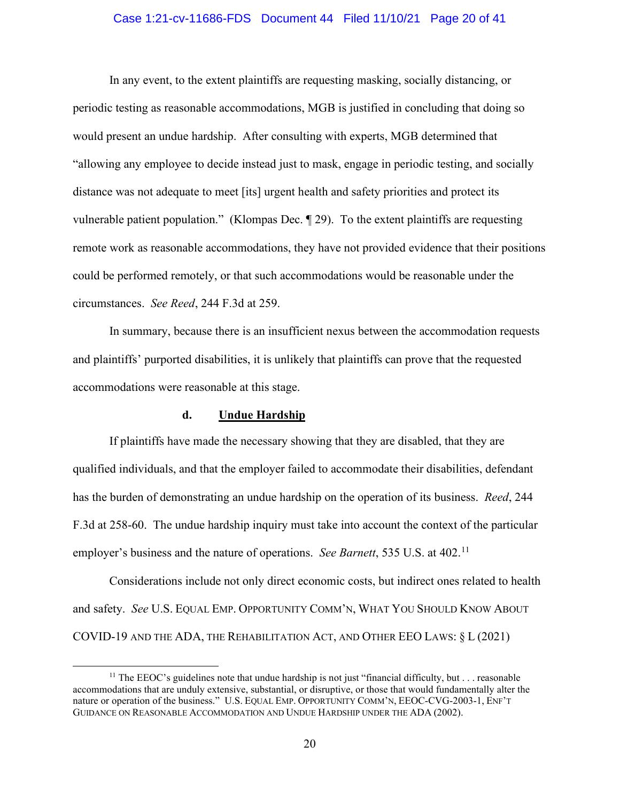### Case 1:21-cv-11686-FDS Document 44 Filed 11/10/21 Page 20 of 41

In any event, to the extent plaintiffs are requesting masking, socially distancing, or periodic testing as reasonable accommodations, MGB is justified in concluding that doing so would present an undue hardship. After consulting with experts, MGB determined that "allowing any employee to decide instead just to mask, engage in periodic testing, and socially distance was not adequate to meet [its] urgent health and safety priorities and protect its vulnerable patient population." (Klompas Dec. ¶ 29). To the extent plaintiffs are requesting remote work as reasonable accommodations, they have not provided evidence that their positions could be performed remotely, or that such accommodations would be reasonable under the circumstances. *See Reed*, 244 F.3d at 259.

In summary, because there is an insufficient nexus between the accommodation requests and plaintiffs' purported disabilities, it is unlikely that plaintiffs can prove that the requested accommodations were reasonable at this stage.

# **d. Undue Hardship**

If plaintiffs have made the necessary showing that they are disabled, that they are qualified individuals, and that the employer failed to accommodate their disabilities, defendant has the burden of demonstrating an undue hardship on the operation of its business. *Reed*, 244 F.3d at 258-60. The undue hardship inquiry must take into account the context of the particular employer's business and the nature of operations. *See Barnett*, 535 U.S. at 402.<sup>[11](#page-19-0)</sup>

Considerations include not only direct economic costs, but indirect ones related to health and safety. *See* U.S. EQUAL EMP. OPPORTUNITY COMM'N, WHAT YOU SHOULD KNOW ABOUT COVID-19 AND THE ADA, THE REHABILITATION ACT, AND OTHER EEO LAWS: § L (2021)

<span id="page-19-0"></span><sup>&</sup>lt;sup>11</sup> The EEOC's guidelines note that undue hardship is not just "financial difficulty, but  $\dots$  reasonable accommodations that are unduly extensive, substantial, or disruptive, or those that would fundamentally alter the nature or operation of the business." U.S. EQUAL EMP. OPPORTUNITY COMM'N, EEOC-CVG-2003-1, ENF'T GUIDANCE ON REASONABLE ACCOMMODATION AND UNDUE HARDSHIP UNDER THE ADA (2002).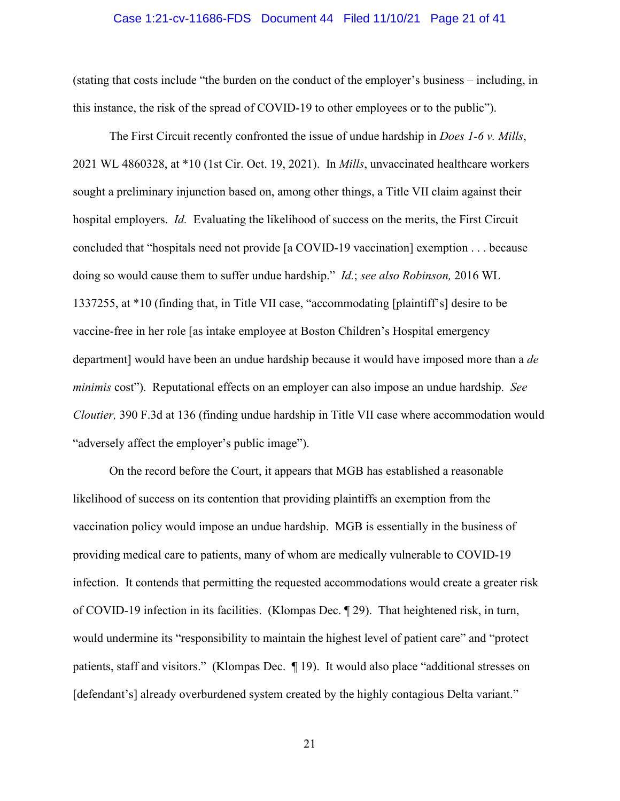#### Case 1:21-cv-11686-FDS Document 44 Filed 11/10/21 Page 21 of 41

(stating that costs include "the burden on the conduct of the employer's business – including, in this instance, the risk of the spread of COVID-19 to other employees or to the public").

The First Circuit recently confronted the issue of undue hardship in *Does 1-6 v. Mills*, 2021 WL 4860328, at \*10 (1st Cir. Oct. 19, 2021). In *Mills*, unvaccinated healthcare workers sought a preliminary injunction based on, among other things, a Title VII claim against their hospital employers. *Id.* Evaluating the likelihood of success on the merits, the First Circuit concluded that "hospitals need not provide [a COVID-19 vaccination] exemption . . . because doing so would cause them to suffer undue hardship." *Id.*; *see also Robinson,* 2016 WL 1337255, at \*10 (finding that, in Title VII case, "accommodating [plaintiff's] desire to be vaccine-free in her role [as intake employee at Boston Children's Hospital emergency department] would have been an undue hardship because it would have imposed more than a *de minimis* cost"). Reputational effects on an employer can also impose an undue hardship. *See Cloutier,* 390 F.3d at 136 (finding undue hardship in Title VII case where accommodation would "adversely affect the employer's public image").

On the record before the Court, it appears that MGB has established a reasonable likelihood of success on its contention that providing plaintiffs an exemption from the vaccination policy would impose an undue hardship. MGB is essentially in the business of providing medical care to patients, many of whom are medically vulnerable to COVID-19 infection. It contends that permitting the requested accommodations would create a greater risk of COVID-19 infection in its facilities. (Klompas Dec. ¶ 29). That heightened risk, in turn, would undermine its "responsibility to maintain the highest level of patient care" and "protect patients, staff and visitors." (Klompas Dec. ¶ 19). It would also place "additional stresses on [defendant's] already overburdened system created by the highly contagious Delta variant."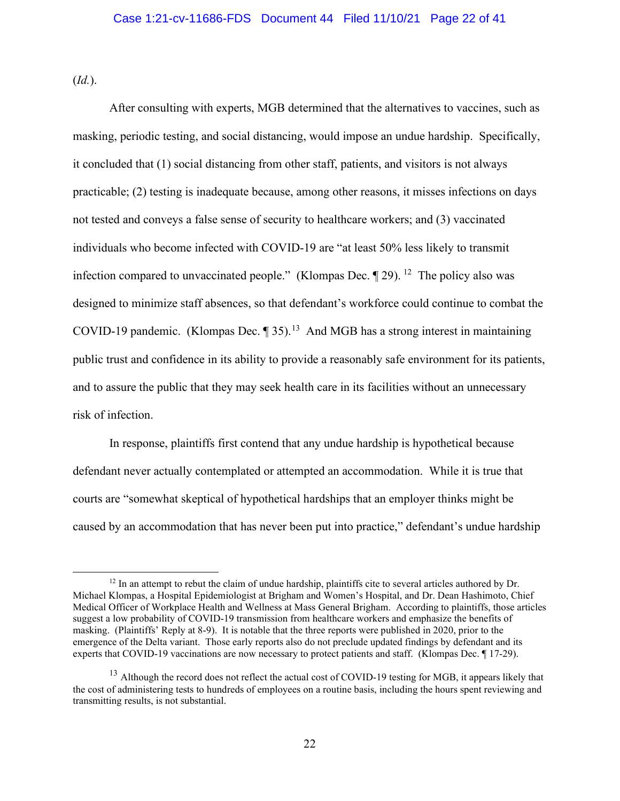(*Id.*).

After consulting with experts, MGB determined that the alternatives to vaccines, such as masking, periodic testing, and social distancing, would impose an undue hardship. Specifically, it concluded that (1) social distancing from other staff, patients, and visitors is not always practicable; (2) testing is inadequate because, among other reasons, it misses infections on days not tested and conveys a false sense of security to healthcare workers; and (3) vaccinated individuals who become infected with COVID-19 are "at least 50% less likely to transmit infection compared to unvaccinated people." (Klompas Dec.  $\P$  29). <sup>[12](#page-21-0)</sup> The policy also was designed to minimize staff absences, so that defendant's workforce could continue to combat the COVID-19 pandemic. (Klompas Dec.  $\P$  35).<sup>[13](#page-21-1)</sup> And MGB has a strong interest in maintaining public trust and confidence in its ability to provide a reasonably safe environment for its patients, and to assure the public that they may seek health care in its facilities without an unnecessary risk of infection.

In response, plaintiffs first contend that any undue hardship is hypothetical because defendant never actually contemplated or attempted an accommodation. While it is true that courts are "somewhat skeptical of hypothetical hardships that an employer thinks might be caused by an accommodation that has never been put into practice," defendant's undue hardship

<span id="page-21-0"></span><sup>&</sup>lt;sup>12</sup> In an attempt to rebut the claim of undue hardship, plaintiffs cite to several articles authored by Dr. Michael Klompas, a Hospital Epidemiologist at Brigham and Women's Hospital, and Dr. Dean Hashimoto, Chief Medical Officer of Workplace Health and Wellness at Mass General Brigham. According to plaintiffs, those articles suggest a low probability of COVID-19 transmission from healthcare workers and emphasize the benefits of masking. (Plaintiffs' Reply at 8-9). It is notable that the three reports were published in 2020, prior to the emergence of the Delta variant. Those early reports also do not preclude updated findings by defendant and its experts that COVID-19 vaccinations are now necessary to protect patients and staff. (Klompas Dec. ¶ 17-29).

<span id="page-21-1"></span><sup>&</sup>lt;sup>13</sup> Although the record does not reflect the actual cost of COVID-19 testing for MGB, it appears likely that the cost of administering tests to hundreds of employees on a routine basis, including the hours spent reviewing and transmitting results, is not substantial.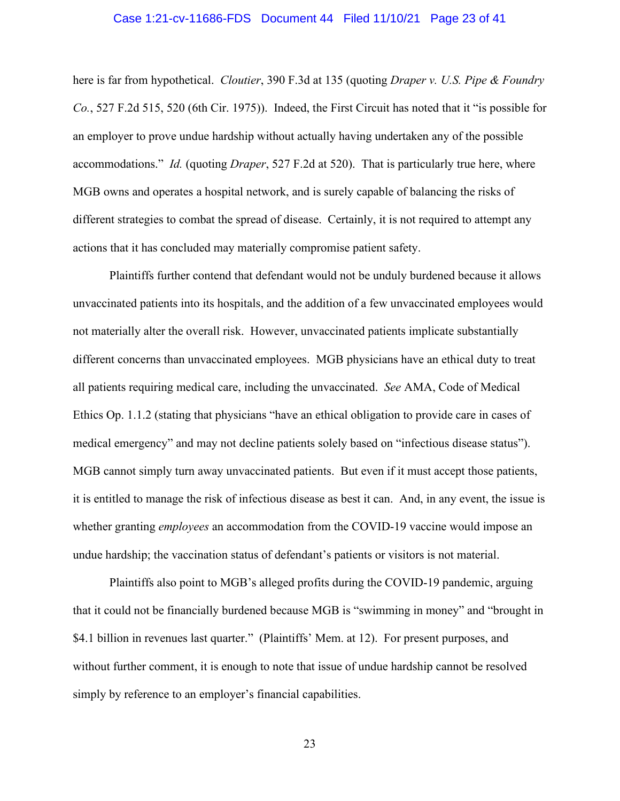#### Case 1:21-cv-11686-FDS Document 44 Filed 11/10/21 Page 23 of 41

here is far from hypothetical. *Cloutier*, 390 F.3d at 135 (quoting *Draper v. U.S. Pipe & Foundry Co.*, 527 F.2d 515, 520 (6th Cir. 1975)). Indeed, the First Circuit has noted that it "is possible for an employer to prove undue hardship without actually having undertaken any of the possible accommodations." *Id.* (quoting *Draper*, 527 F.2d at 520). That is particularly true here, where MGB owns and operates a hospital network, and is surely capable of balancing the risks of different strategies to combat the spread of disease. Certainly, it is not required to attempt any actions that it has concluded may materially compromise patient safety.

Plaintiffs further contend that defendant would not be unduly burdened because it allows unvaccinated patients into its hospitals, and the addition of a few unvaccinated employees would not materially alter the overall risk. However, unvaccinated patients implicate substantially different concerns than unvaccinated employees. MGB physicians have an ethical duty to treat all patients requiring medical care, including the unvaccinated. *See* AMA, Code of Medical Ethics Op. 1.1.2 (stating that physicians "have an ethical obligation to provide care in cases of medical emergency" and may not decline patients solely based on "infectious disease status"). MGB cannot simply turn away unvaccinated patients. But even if it must accept those patients, it is entitled to manage the risk of infectious disease as best it can. And, in any event, the issue is whether granting *employees* an accommodation from the COVID-19 vaccine would impose an undue hardship; the vaccination status of defendant's patients or visitors is not material.

Plaintiffs also point to MGB's alleged profits during the COVID-19 pandemic, arguing that it could not be financially burdened because MGB is "swimming in money" and "brought in \$4.1 billion in revenues last quarter." (Plaintiffs' Mem. at 12). For present purposes, and without further comment, it is enough to note that issue of undue hardship cannot be resolved simply by reference to an employer's financial capabilities.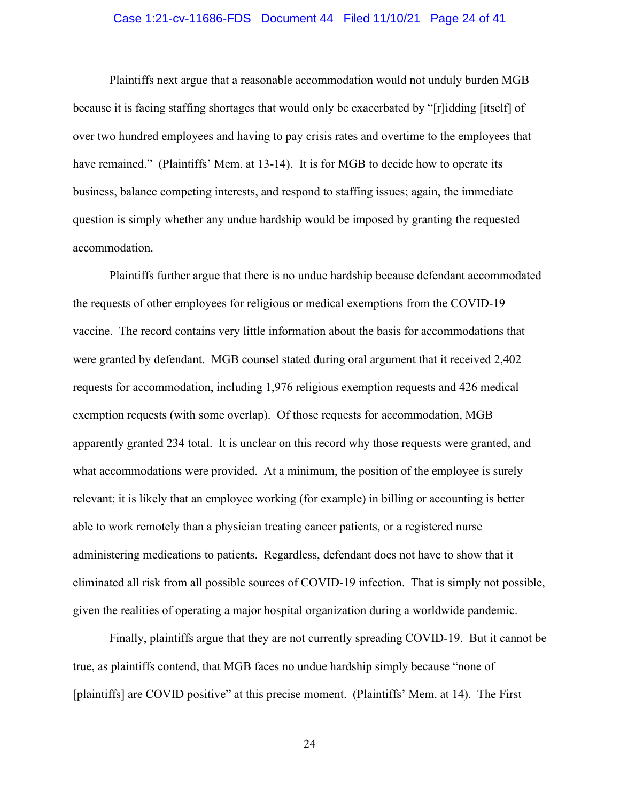## Case 1:21-cv-11686-FDS Document 44 Filed 11/10/21 Page 24 of 41

Plaintiffs next argue that a reasonable accommodation would not unduly burden MGB because it is facing staffing shortages that would only be exacerbated by "[r]idding [itself] of over two hundred employees and having to pay crisis rates and overtime to the employees that have remained." (Plaintiffs' Mem. at 13-14). It is for MGB to decide how to operate its business, balance competing interests, and respond to staffing issues; again, the immediate question is simply whether any undue hardship would be imposed by granting the requested accommodation.

Plaintiffs further argue that there is no undue hardship because defendant accommodated the requests of other employees for religious or medical exemptions from the COVID-19 vaccine. The record contains very little information about the basis for accommodations that were granted by defendant. MGB counsel stated during oral argument that it received 2,402 requests for accommodation, including 1,976 religious exemption requests and 426 medical exemption requests (with some overlap). Of those requests for accommodation, MGB apparently granted 234 total. It is unclear on this record why those requests were granted, and what accommodations were provided. At a minimum, the position of the employee is surely relevant; it is likely that an employee working (for example) in billing or accounting is better able to work remotely than a physician treating cancer patients, or a registered nurse administering medications to patients. Regardless, defendant does not have to show that it eliminated all risk from all possible sources of COVID-19 infection. That is simply not possible, given the realities of operating a major hospital organization during a worldwide pandemic.

Finally, plaintiffs argue that they are not currently spreading COVID-19. But it cannot be true, as plaintiffs contend, that MGB faces no undue hardship simply because "none of [plaintiffs] are COVID positive" at this precise moment. (Plaintiffs' Mem. at 14). The First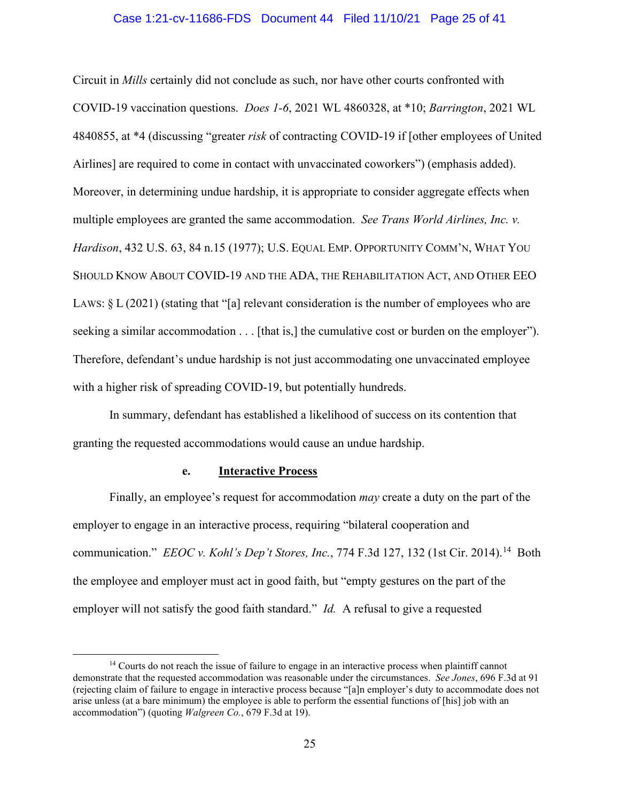#### Case 1:21-cv-11686-FDS Document 44 Filed 11/10/21 Page 25 of 41

Circuit in *Mills* certainly did not conclude as such, nor have other courts confronted with COVID-19 vaccination questions. *Does 1-6*, 2021 WL 4860328, at \*10; *Barrington*, 2021 WL 4840855, at \*4 (discussing "greater *risk* of contracting COVID-19 if [other employees of United Airlines] are required to come in contact with unvaccinated coworkers") (emphasis added). Moreover, in determining undue hardship, it is appropriate to consider aggregate effects when multiple employees are granted the same accommodation. *See Trans World Airlines, Inc. v. Hardison*, 432 U.S. 63, 84 n.15 (1977); U.S. EQUAL EMP. OPPORTUNITY COMM'N, WHAT YOU SHOULD KNOW ABOUT COVID-19 AND THE ADA, THE REHABILITATION ACT, AND OTHER EEO LAWS:  $\S L(2021)$  (stating that "[a] relevant consideration is the number of employees who are seeking a similar accommodation . . . [that is,] the cumulative cost or burden on the employer"). Therefore, defendant's undue hardship is not just accommodating one unvaccinated employee with a higher risk of spreading COVID-19, but potentially hundreds.

In summary, defendant has established a likelihood of success on its contention that granting the requested accommodations would cause an undue hardship.

# **e. Interactive Process**

Finally, an employee's request for accommodation *may* create a duty on the part of the employer to engage in an interactive process, requiring "bilateral cooperation and communication." *EEOC v. Kohl's Dep't Stores, Inc.*, 774 F.3d 127, 132 (1st Cir. 2014).<sup>14</sup> Both the employee and employer must act in good faith, but "empty gestures on the part of the employer will not satisfy the good faith standard." *Id.* A refusal to give a requested

<span id="page-24-0"></span><sup>&</sup>lt;sup>14</sup> Courts do not reach the issue of failure to engage in an interactive process when plaintiff cannot demonstrate that the requested accommodation was reasonable under the circumstances. *See Jones*, 696 F.3d at 91 (rejecting claim of failure to engage in interactive process because "[a]n employer's duty to accommodate does not arise unless (at a bare minimum) the employee is able to perform the essential functions of [his] job with an accommodation") (quoting *Walgreen Co.*, 679 F.3d at 19).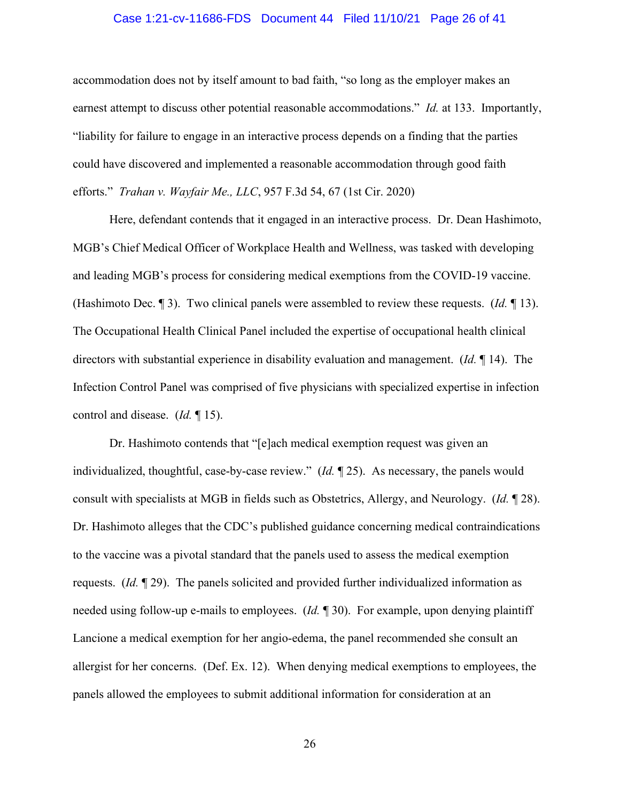#### Case 1:21-cv-11686-FDS Document 44 Filed 11/10/21 Page 26 of 41

accommodation does not by itself amount to bad faith, "so long as the employer makes an earnest attempt to discuss other potential reasonable accommodations." *Id.* at 133. Importantly, "liability for failure to engage in an interactive process depends on a finding that the parties could have discovered and implemented a reasonable accommodation through good faith efforts." *Trahan v. Wayfair Me., LLC*, 957 F.3d 54, 67 (1st Cir. 2020)

Here, defendant contends that it engaged in an interactive process. Dr. Dean Hashimoto, MGB's Chief Medical Officer of Workplace Health and Wellness, was tasked with developing and leading MGB's process for considering medical exemptions from the COVID-19 vaccine. (Hashimoto Dec. ¶ 3). Two clinical panels were assembled to review these requests. (*Id.* ¶ 13). The Occupational Health Clinical Panel included the expertise of occupational health clinical directors with substantial experience in disability evaluation and management. (*Id.* ¶ 14). The Infection Control Panel was comprised of five physicians with specialized expertise in infection control and disease. (*Id.* ¶ 15).

Dr. Hashimoto contends that "[e]ach medical exemption request was given an individualized, thoughtful, case-by-case review." (*Id.* ¶ 25). As necessary, the panels would consult with specialists at MGB in fields such as Obstetrics, Allergy, and Neurology. (*Id.* ¶ 28). Dr. Hashimoto alleges that the CDC's published guidance concerning medical contraindications to the vaccine was a pivotal standard that the panels used to assess the medical exemption requests. (*Id.* ¶ 29). The panels solicited and provided further individualized information as needed using follow-up e-mails to employees. (*Id.* ¶ 30). For example, upon denying plaintiff Lancione a medical exemption for her angio-edema, the panel recommended she consult an allergist for her concerns. (Def. Ex. 12). When denying medical exemptions to employees, the panels allowed the employees to submit additional information for consideration at an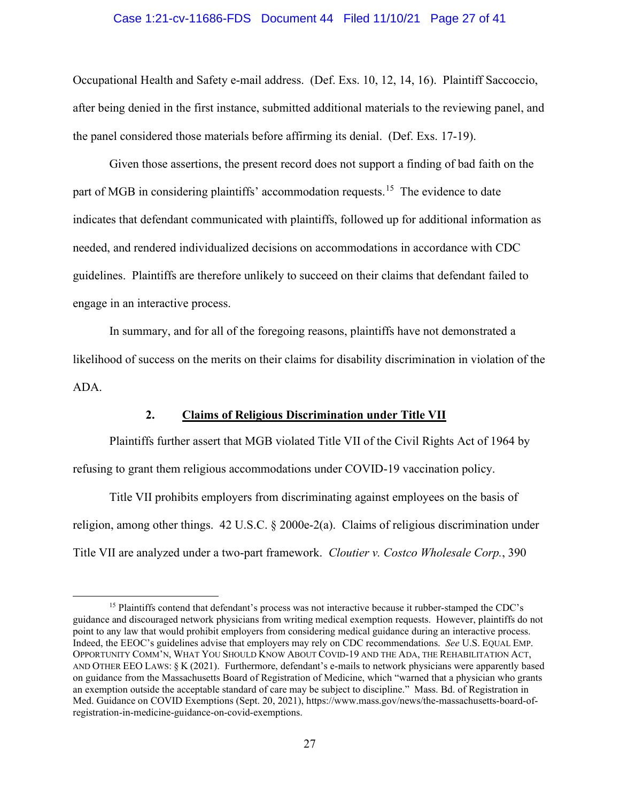#### Case 1:21-cv-11686-FDS Document 44 Filed 11/10/21 Page 27 of 41

Occupational Health and Safety e-mail address. (Def. Exs. 10, 12, 14, 16). Plaintiff Saccoccio, after being denied in the first instance, submitted additional materials to the reviewing panel, and the panel considered those materials before affirming its denial. (Def. Exs. 17-19).

Given those assertions, the present record does not support a finding of bad faith on the part of MGB in considering plaintiffs' accommodation requests.<sup>[15](#page-26-0)</sup> The evidence to date indicates that defendant communicated with plaintiffs, followed up for additional information as needed, and rendered individualized decisions on accommodations in accordance with CDC guidelines. Plaintiffs are therefore unlikely to succeed on their claims that defendant failed to engage in an interactive process.

In summary, and for all of the foregoing reasons, plaintiffs have not demonstrated a likelihood of success on the merits on their claims for disability discrimination in violation of the ADA.

# **2. Claims of Religious Discrimination under Title VII**

Plaintiffs further assert that MGB violated Title VII of the Civil Rights Act of 1964 by refusing to grant them religious accommodations under COVID-19 vaccination policy.

Title VII prohibits employers from discriminating against employees on the basis of religion, among other things. 42 U.S.C. § 2000e-2(a). Claims of religious discrimination under Title VII are analyzed under a two-part framework. *Cloutier v. Costco Wholesale Corp.*, 390

<span id="page-26-0"></span><sup>&</sup>lt;sup>15</sup> Plaintiffs contend that defendant's process was not interactive because it rubber-stamped the CDC's guidance and discouraged network physicians from writing medical exemption requests. However, plaintiffs do not point to any law that would prohibit employers from considering medical guidance during an interactive process. Indeed, the EEOC's guidelines advise that employers may rely on CDC recommendations. *See* U.S. EQUAL EMP. OPPORTUNITY COMM'N, WHAT YOU SHOULD KNOW ABOUT COVID-19 AND THE ADA, THE REHABILITATION ACT, AND OTHER EEO LAWS: § K (2021). Furthermore, defendant's e-mails to network physicians were apparently based on guidance from the Massachusetts Board of Registration of Medicine, which "warned that a physician who grants an exemption outside the acceptable standard of care may be subject to discipline." Mass. Bd. of Registration in Med. Guidance on COVID Exemptions (Sept. 20, 2021), https://www.mass.gov/news/the-massachusetts-board-ofregistration-in-medicine-guidance-on-covid-exemptions.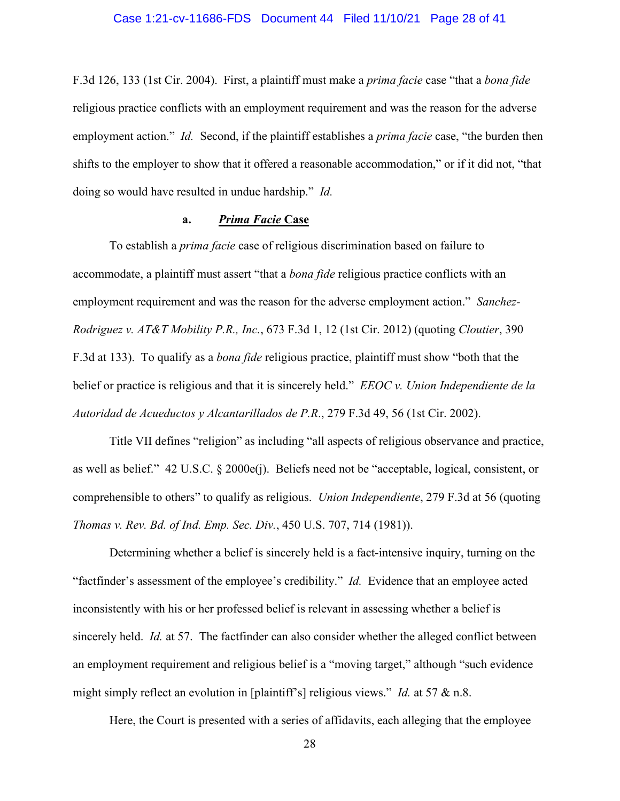#### Case 1:21-cv-11686-FDS Document 44 Filed 11/10/21 Page 28 of 41

F.3d 126, 133 (1st Cir. 2004). First, a plaintiff must make a *prima facie* case "that a *bona fide* religious practice conflicts with an employment requirement and was the reason for the adverse employment action." *Id.* Second, if the plaintiff establishes a *prima facie* case, "the burden then shifts to the employer to show that it offered a reasonable accommodation," or if it did not, "that doing so would have resulted in undue hardship." *Id.* 

# **a.** *Prima Facie* **Case**

To establish a *prima facie* case of religious discrimination based on failure to accommodate, a plaintiff must assert "that a *bona fide* religious practice conflicts with an employment requirement and was the reason for the adverse employment action." *Sanchez-Rodriguez v. AT&T Mobility P.R., Inc.*, 673 F.3d 1, 12 (1st Cir. 2012) (quoting *Cloutier*, 390 F.3d at 133). To qualify as a *bona fide* religious practice, plaintiff must show "both that the belief or practice is religious and that it is sincerely held." *EEOC v. Union Independiente de la Autoridad de Acueductos y Alcantarillados de P.R*., 279 F.3d 49, 56 (1st Cir. 2002).

Title VII defines "religion" as including "all aspects of religious observance and practice, as well as belief." 42 U.S.C. § 2000e(j). Beliefs need not be "acceptable, logical, consistent, or comprehensible to others" to qualify as religious. *Union Independiente*, 279 F.3d at 56 (quoting *Thomas v. Rev. Bd. of Ind. Emp. Sec. Div.*, 450 U.S. 707, 714 (1981)).

Determining whether a belief is sincerely held is a fact-intensive inquiry, turning on the "factfinder's assessment of the employee's credibility." *Id.* Evidence that an employee acted inconsistently with his or her professed belief is relevant in assessing whether a belief is sincerely held. *Id.* at 57. The factfinder can also consider whether the alleged conflict between an employment requirement and religious belief is a "moving target," although "such evidence might simply reflect an evolution in [plaintiff's] religious views." *Id.* at 57 & n.8.

Here, the Court is presented with a series of affidavits, each alleging that the employee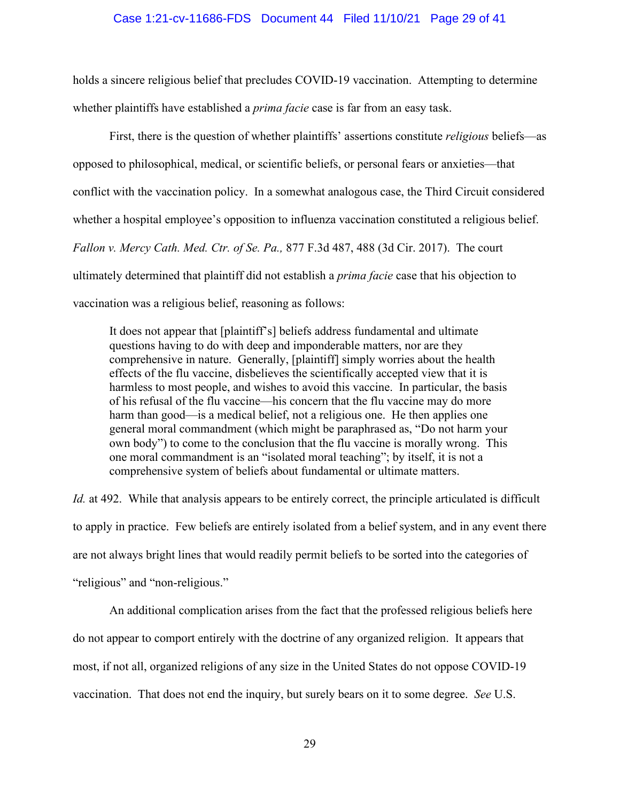#### Case 1:21-cv-11686-FDS Document 44 Filed 11/10/21 Page 29 of 41

holds a sincere religious belief that precludes COVID-19 vaccination. Attempting to determine whether plaintiffs have established a *prima facie* case is far from an easy task.

First, there is the question of whether plaintiffs' assertions constitute *religious* beliefs—as opposed to philosophical, medical, or scientific beliefs, or personal fears or anxieties—that conflict with the vaccination policy. In a somewhat analogous case, the Third Circuit considered whether a hospital employee's opposition to influenza vaccination constituted a religious belief. *Fallon v. Mercy Cath. Med. Ctr. of Se. Pa.,* 877 F.3d 487, 488 (3d Cir. 2017). The court ultimately determined that plaintiff did not establish a *prima facie* case that his objection to vaccination was a religious belief, reasoning as follows:

It does not appear that [plaintiff's] beliefs address fundamental and ultimate questions having to do with deep and imponderable matters, nor are they comprehensive in nature. Generally, [plaintiff] simply worries about the health effects of the flu vaccine, disbelieves the scientifically accepted view that it is harmless to most people, and wishes to avoid this vaccine. In particular, the basis of his refusal of the flu vaccine—his concern that the flu vaccine may do more harm than good—is a medical belief, not a religious one. He then applies one general moral commandment (which might be paraphrased as, "Do not harm your own body") to come to the conclusion that the flu vaccine is morally wrong. This one moral commandment is an "isolated moral teaching"; by itself, it is not a comprehensive system of beliefs about fundamental or ultimate matters.

*Id.* at 492. While that analysis appears to be entirely correct, the principle articulated is difficult to apply in practice. Few beliefs are entirely isolated from a belief system, and in any event there are not always bright lines that would readily permit beliefs to be sorted into the categories of "religious" and "non-religious."

An additional complication arises from the fact that the professed religious beliefs here do not appear to comport entirely with the doctrine of any organized religion. It appears that most, if not all, organized religions of any size in the United States do not oppose COVID-19 vaccination. That does not end the inquiry, but surely bears on it to some degree. *See* U.S.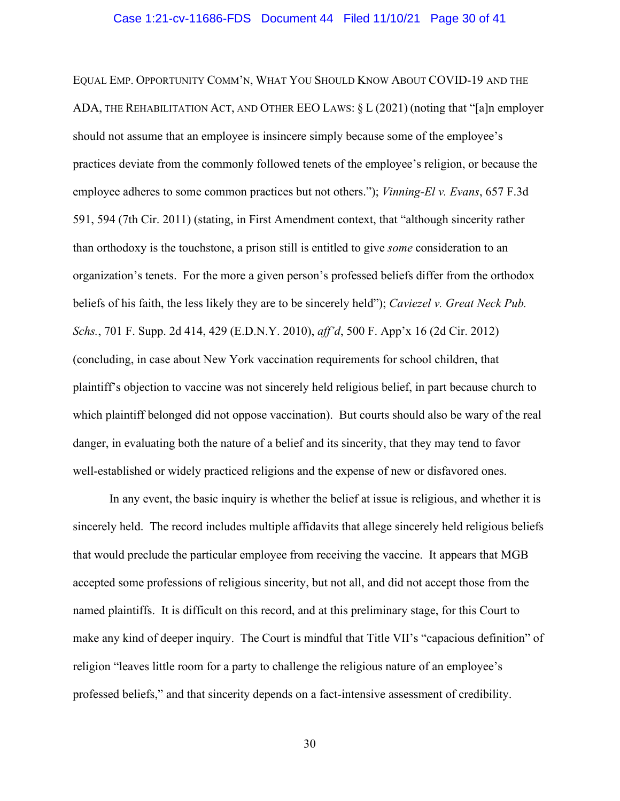#### Case 1:21-cv-11686-FDS Document 44 Filed 11/10/21 Page 30 of 41

EQUAL EMP. OPPORTUNITY COMM'N, WHAT YOU SHOULD KNOW ABOUT COVID-19 AND THE ADA, THE REHABILITATION ACT, AND OTHER EEO LAWS: § L (2021) (noting that "[a]n employer should not assume that an employee is insincere simply because some of the employee's practices deviate from the commonly followed tenets of the employee's religion, or because the employee adheres to some common practices but not others."); *Vinning-El v. Evans*, 657 F.3d 591, 594 (7th Cir. 2011) (stating, in First Amendment context, that "although sincerity rather than orthodoxy is the touchstone, a prison still is entitled to give *some* consideration to an organization's tenets. For the more a given person's professed beliefs differ from the orthodox beliefs of his faith, the less likely they are to be sincerely held"); *Caviezel v. Great Neck Pub. Schs.*, 701 F. Supp. 2d 414, 429 (E.D.N.Y. 2010), *aff'd*, 500 F. App'x 16 (2d Cir. 2012) (concluding, in case about New York vaccination requirements for school children, that plaintiff's objection to vaccine was not sincerely held religious belief, in part because church to which plaintiff belonged did not oppose vaccination). But courts should also be wary of the real danger, in evaluating both the nature of a belief and its sincerity, that they may tend to favor well-established or widely practiced religions and the expense of new or disfavored ones.

In any event, the basic inquiry is whether the belief at issue is religious, and whether it is sincerely held. The record includes multiple affidavits that allege sincerely held religious beliefs that would preclude the particular employee from receiving the vaccine. It appears that MGB accepted some professions of religious sincerity, but not all, and did not accept those from the named plaintiffs. It is difficult on this record, and at this preliminary stage, for this Court to make any kind of deeper inquiry. The Court is mindful that Title VII's "capacious definition" of religion "leaves little room for a party to challenge the religious nature of an employee's professed beliefs," and that sincerity depends on a fact-intensive assessment of credibility.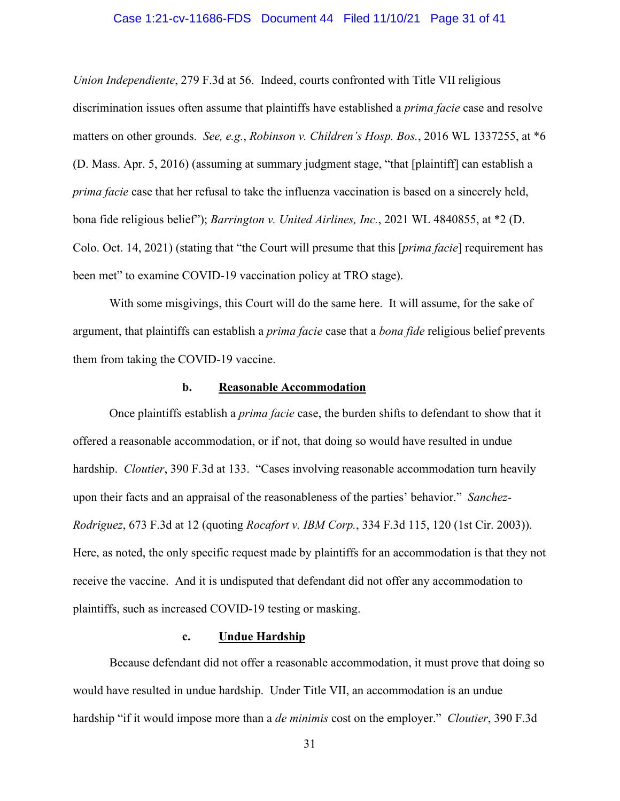### Case 1:21-cv-11686-FDS Document 44 Filed 11/10/21 Page 31 of 41

*Union Independiente*, 279 F.3d at 56. Indeed, courts confronted with Title VII religious discrimination issues often assume that plaintiffs have established a *prima facie* case and resolve matters on other grounds. *See, e.g.*, *Robinson v. Children's Hosp. Bos.*, 2016 WL 1337255, at \*6 (D. Mass. Apr. 5, 2016) (assuming at summary judgment stage, "that [plaintiff] can establish a *prima facie* case that her refusal to take the influenza vaccination is based on a sincerely held, bona fide religious belief"); *Barrington v. United Airlines, Inc.*, 2021 WL 4840855, at \*2 (D. Colo. Oct. 14, 2021) (stating that "the Court will presume that this [*prima facie*] requirement has been met" to examine COVID-19 vaccination policy at TRO stage).

With some misgivings, this Court will do the same here. It will assume, for the sake of argument, that plaintiffs can establish a *prima facie* case that a *bona fide* religious belief prevents them from taking the COVID-19 vaccine.

# **b. Reasonable Accommodation**

Once plaintiffs establish a *prima facie* case, the burden shifts to defendant to show that it offered a reasonable accommodation, or if not, that doing so would have resulted in undue hardship. *Cloutier*, 390 F.3d at 133. "Cases involving reasonable accommodation turn heavily upon their facts and an appraisal of the reasonableness of the parties' behavior." *Sanchez-Rodriguez*, 673 F.3d at 12 (quoting *Rocafort v. IBM Corp.*, 334 F.3d 115, 120 (1st Cir. 2003)). Here, as noted, the only specific request made by plaintiffs for an accommodation is that they not receive the vaccine. And it is undisputed that defendant did not offer any accommodation to plaintiffs, such as increased COVID-19 testing or masking.

# **c. Undue Hardship**

Because defendant did not offer a reasonable accommodation, it must prove that doing so would have resulted in undue hardship. Under Title VII, an accommodation is an undue hardship "if it would impose more than a *de minimis* cost on the employer." *Cloutier*, 390 F.3d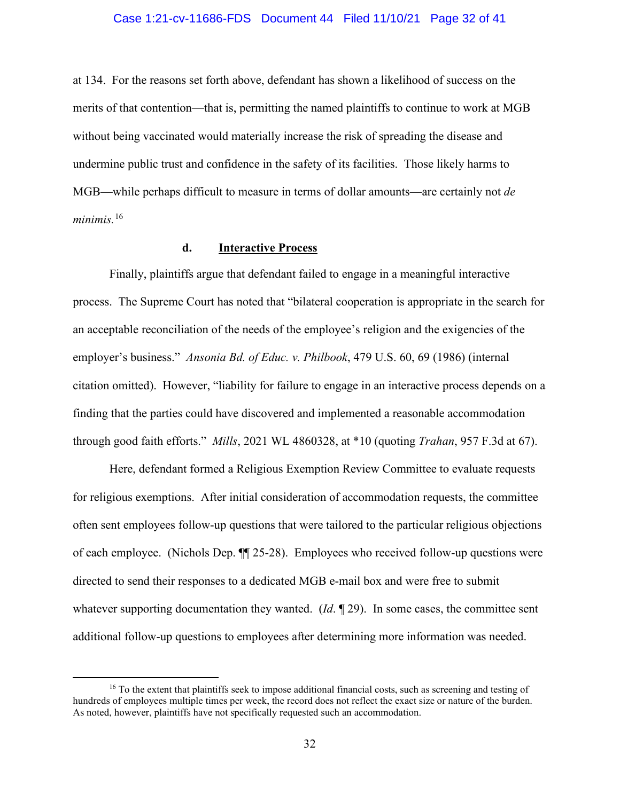#### Case 1:21-cv-11686-FDS Document 44 Filed 11/10/21 Page 32 of 41

at 134. For the reasons set forth above, defendant has shown a likelihood of success on the merits of that contention—that is, permitting the named plaintiffs to continue to work at MGB without being vaccinated would materially increase the risk of spreading the disease and undermine public trust and confidence in the safety of its facilities. Those likely harms to MGB—while perhaps difficult to measure in terms of dollar amounts—are certainly not *de minimis.* [16](#page-31-0) 

# **d. Interactive Process**

Finally, plaintiffs argue that defendant failed to engage in a meaningful interactive process. The Supreme Court has noted that "bilateral cooperation is appropriate in the search for an acceptable reconciliation of the needs of the employee's religion and the exigencies of the employer's business." *Ansonia Bd. of Educ. v. Philbook*, 479 U.S. 60, 69 (1986) (internal citation omitted). However, "liability for failure to engage in an interactive process depends on a finding that the parties could have discovered and implemented a reasonable accommodation through good faith efforts." *Mills*, 2021 WL 4860328, at \*10 (quoting *Trahan*, 957 F.3d at 67).

Here, defendant formed a Religious Exemption Review Committee to evaluate requests for religious exemptions. After initial consideration of accommodation requests, the committee often sent employees follow-up questions that were tailored to the particular religious objections of each employee. (Nichols Dep. ¶¶ 25-28). Employees who received follow-up questions were directed to send their responses to a dedicated MGB e-mail box and were free to submit whatever supporting documentation they wanted. (*Id.* ¶ 29). In some cases, the committee sent additional follow-up questions to employees after determining more information was needed.

<span id="page-31-0"></span><sup>&</sup>lt;sup>16</sup> To the extent that plaintiffs seek to impose additional financial costs, such as screening and testing of hundreds of employees multiple times per week, the record does not reflect the exact size or nature of the burden. As noted, however, plaintiffs have not specifically requested such an accommodation.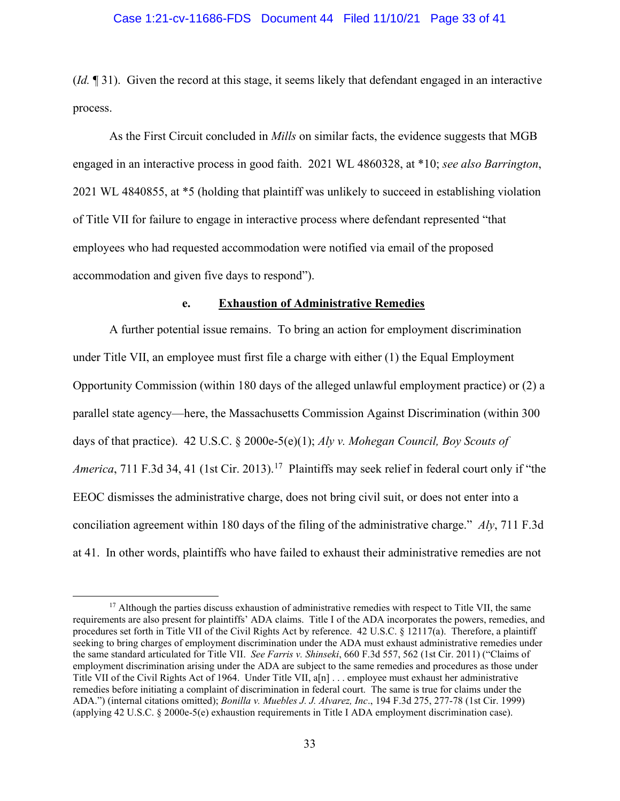### Case 1:21-cv-11686-FDS Document 44 Filed 11/10/21 Page 33 of 41

(*Id.* ¶ 31). Given the record at this stage, it seems likely that defendant engaged in an interactive process.

As the First Circuit concluded in *Mills* on similar facts, the evidence suggests that MGB engaged in an interactive process in good faith. 2021 WL 4860328, at \*10; *see also Barrington*, 2021 WL 4840855, at \*5 (holding that plaintiff was unlikely to succeed in establishing violation of Title VII for failure to engage in interactive process where defendant represented "that employees who had requested accommodation were notified via email of the proposed accommodation and given five days to respond").

### **e. Exhaustion of Administrative Remedies**

A further potential issue remains. To bring an action for employment discrimination under Title VII, an employee must first file a charge with either (1) the Equal Employment Opportunity Commission (within 180 days of the alleged unlawful employment practice) or (2) a parallel state agency—here, the Massachusetts Commission Against Discrimination (within 300 days of that practice). 42 U.S.C. § 2000e-5(e)(1); *Aly v. Mohegan Council, Boy Scouts of America*, 711 F.3d 34, 41 (1st Cir. 2013).<sup>[17](#page-32-0)</sup> Plaintiffs may seek relief in federal court only if "the EEOC dismisses the administrative charge, does not bring civil suit, or does not enter into a conciliation agreement within 180 days of the filing of the administrative charge." *Aly*, 711 F.3d at 41. In other words, plaintiffs who have failed to exhaust their administrative remedies are not

<span id="page-32-0"></span><sup>&</sup>lt;sup>17</sup> Although the parties discuss exhaustion of administrative remedies with respect to Title VII, the same requirements are also present for plaintiffs' ADA claims. Title I of the ADA incorporates the powers, remedies, and procedures set forth in Title VII of the Civil Rights Act by reference. 42 U.S.C. § 12117(a). Therefore, a plaintiff seeking to bring charges of employment discrimination under the ADA must exhaust administrative remedies under the same standard articulated for Title VII. *See Farris v. Shinseki*, 660 F.3d 557, 562 (1st Cir. 2011) ("Claims of employment discrimination arising under the ADA are subject to the same remedies and procedures as those under Title VII of the Civil Rights Act of 1964. Under Title VII, a[n] . . . employee must exhaust her administrative remedies before initiating a complaint of discrimination in federal court. The same is true for claims under the ADA.") (internal citations omitted); *Bonilla v. Muebles J. J. Alvarez, Inc*., 194 F.3d 275, 277-78 (1st Cir. 1999) (applying 42 U.S.C. § 2000e-5(e) exhaustion requirements in Title I ADA employment discrimination case).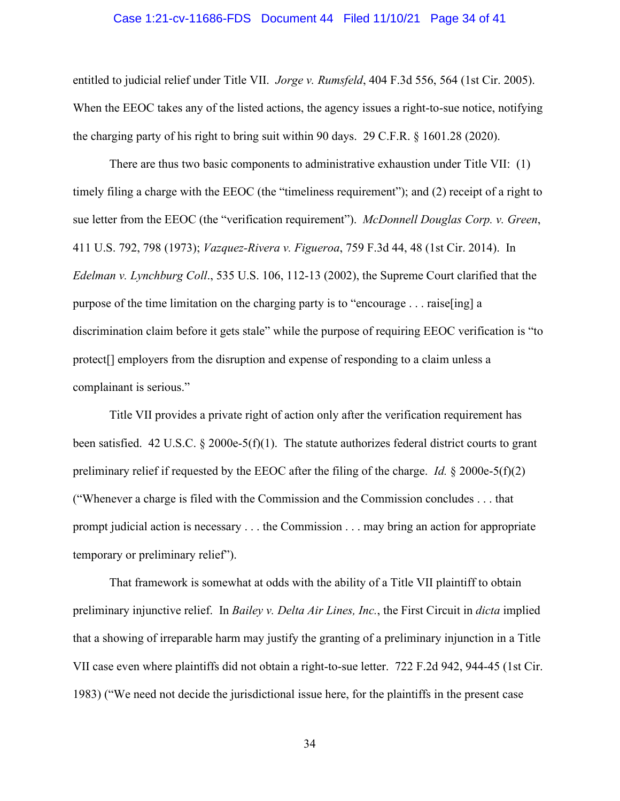#### Case 1:21-cv-11686-FDS Document 44 Filed 11/10/21 Page 34 of 41

entitled to judicial relief under Title VII. *Jorge v. Rumsfeld*, 404 F.3d 556, 564 (1st Cir. 2005). When the EEOC takes any of the listed actions, the agency issues a right-to-sue notice, notifying the charging party of his right to bring suit within 90 days. 29 C.F.R. § 1601.28 (2020).

There are thus two basic components to administrative exhaustion under Title VII: (1) timely filing a charge with the EEOC (the "timeliness requirement"); and (2) receipt of a right to sue letter from the EEOC (the "verification requirement"). *McDonnell Douglas Corp. v. Green*, 411 U.S. 792, 798 (1973); *Vazquez-Rivera v. Figueroa*, 759 F.3d 44, 48 (1st Cir. 2014). In *Edelman v. Lynchburg Coll*., 535 U.S. 106, 112-13 (2002), the Supreme Court clarified that the purpose of the time limitation on the charging party is to "encourage . . . raise[ing] a discrimination claim before it gets stale" while the purpose of requiring EEOC verification is "to protect[] employers from the disruption and expense of responding to a claim unless a complainant is serious."

Title VII provides a private right of action only after the verification requirement has been satisfied. 42 U.S.C. § 2000e-5(f)(1). The statute authorizes federal district courts to grant preliminary relief if requested by the EEOC after the filing of the charge. *Id.* § 2000e-5(f)(2) ("Whenever a charge is filed with the Commission and the Commission concludes . . . that prompt judicial action is necessary . . . the Commission . . . may bring an action for appropriate temporary or preliminary relief").

That framework is somewhat at odds with the ability of a Title VII plaintiff to obtain preliminary injunctive relief. In *Bailey v. Delta Air Lines, Inc.*, the First Circuit in *dicta* implied that a showing of irreparable harm may justify the granting of a preliminary injunction in a Title VII case even where plaintiffs did not obtain a right-to-sue letter. 722 F.2d 942, 944-45 (1st Cir. 1983) ("We need not decide the jurisdictional issue here, for the plaintiffs in the present case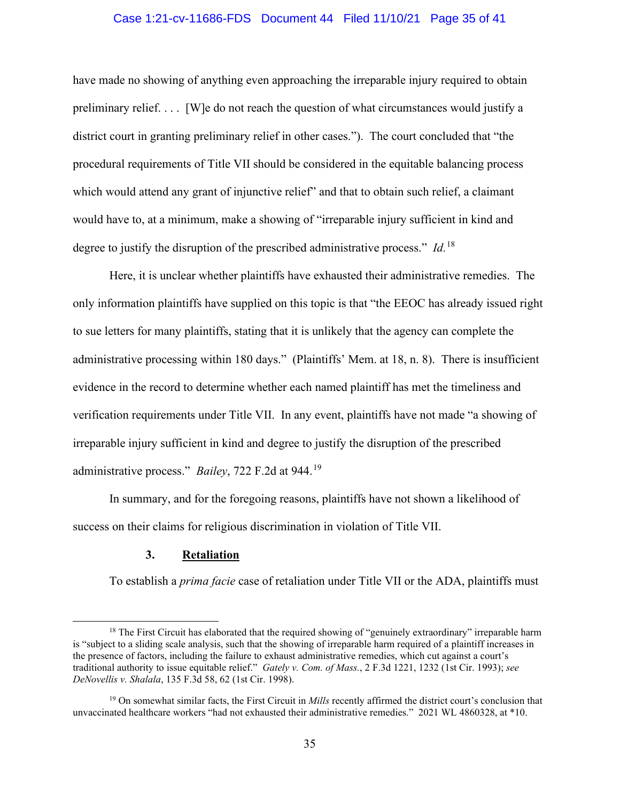## Case 1:21-cv-11686-FDS Document 44 Filed 11/10/21 Page 35 of 41

have made no showing of anything even approaching the irreparable injury required to obtain preliminary relief. . . . [W]e do not reach the question of what circumstances would justify a district court in granting preliminary relief in other cases."). The court concluded that "the procedural requirements of Title VII should be considered in the equitable balancing process which would attend any grant of injunctive relief" and that to obtain such relief, a claimant would have to, at a minimum, make a showing of "irreparable injury sufficient in kind and degree to justify the disruption of the prescribed administrative process." *Id.*[18](#page-34-0) 

Here, it is unclear whether plaintiffs have exhausted their administrative remedies. The only information plaintiffs have supplied on this topic is that "the EEOC has already issued right to sue letters for many plaintiffs, stating that it is unlikely that the agency can complete the administrative processing within 180 days." (Plaintiffs' Mem. at 18, n. 8). There is insufficient evidence in the record to determine whether each named plaintiff has met the timeliness and verification requirements under Title VII. In any event, plaintiffs have not made "a showing of irreparable injury sufficient in kind and degree to justify the disruption of the prescribed administrative process." *Bailey*, 722 F.2d at 944.[19](#page-34-1) 

In summary, and for the foregoing reasons, plaintiffs have not shown a likelihood of success on their claims for religious discrimination in violation of Title VII.

#### **3. Retaliation**

To establish a *prima facie* case of retaliation under Title VII or the ADA, plaintiffs must

<span id="page-34-0"></span><sup>&</sup>lt;sup>18</sup> The First Circuit has elaborated that the required showing of "genuinely extraordinary" irreparable harm is "subject to a sliding scale analysis, such that the showing of irreparable harm required of a plaintiff increases in the presence of factors, including the failure to exhaust administrative remedies, which cut against a court's traditional authority to issue equitable relief." *Gately v. Com. of Mass.*, 2 F.3d 1221, 1232 (1st Cir. 1993); *see DeNovellis v. Shalala*, 135 F.3d 58, 62 (1st Cir. 1998).

<span id="page-34-1"></span><sup>19</sup> On somewhat similar facts, the First Circuit in *Mills* recently affirmed the district court's conclusion that unvaccinated healthcare workers "had not exhausted their administrative remedies." 2021 WL 4860328, at \*10.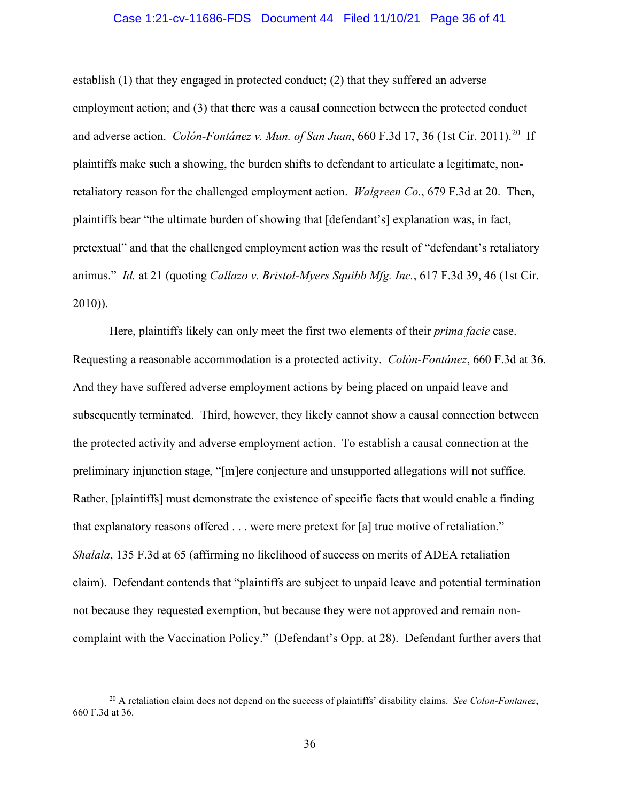### Case 1:21-cv-11686-FDS Document 44 Filed 11/10/21 Page 36 of 41

establish (1) that they engaged in protected conduct; (2) that they suffered an adverse employment action; and (3) that there was a causal connection between the protected conduct and adverse action. *Colón-Fontánez v. Mun. of San Juan*, 660 F.3d 17, 36 (1st Cir. 2011). [20](#page-35-0) If plaintiffs make such a showing, the burden shifts to defendant to articulate a legitimate, nonretaliatory reason for the challenged employment action. *Walgreen Co.*, 679 F.3d at 20. Then, plaintiffs bear "the ultimate burden of showing that [defendant's] explanation was, in fact, pretextual" and that the challenged employment action was the result of "defendant's retaliatory animus." *Id.* at 21 (quoting *Callazo v. Bristol-Myers Squibb Mfg. Inc.*, 617 F.3d 39, 46 (1st Cir. 2010)).

Here, plaintiffs likely can only meet the first two elements of their *prima facie* case. Requesting a reasonable accommodation is a protected activity. *Colón-Fontánez*, 660 F.3d at 36. And they have suffered adverse employment actions by being placed on unpaid leave and subsequently terminated. Third, however, they likely cannot show a causal connection between the protected activity and adverse employment action. To establish a causal connection at the preliminary injunction stage, "[m]ere conjecture and unsupported allegations will not suffice. Rather, [plaintiffs] must demonstrate the existence of specific facts that would enable a finding that explanatory reasons offered . . . were mere pretext for [a] true motive of retaliation." *Shalala*, 135 F.3d at 65 (affirming no likelihood of success on merits of ADEA retaliation claim). Defendant contends that "plaintiffs are subject to unpaid leave and potential termination not because they requested exemption, but because they were not approved and remain noncomplaint with the Vaccination Policy." (Defendant's Opp. at 28). Defendant further avers that

<span id="page-35-0"></span><sup>20</sup> A retaliation claim does not depend on the success of plaintiffs' disability claims. *See Colon-Fontanez*, 660 F.3d at 36.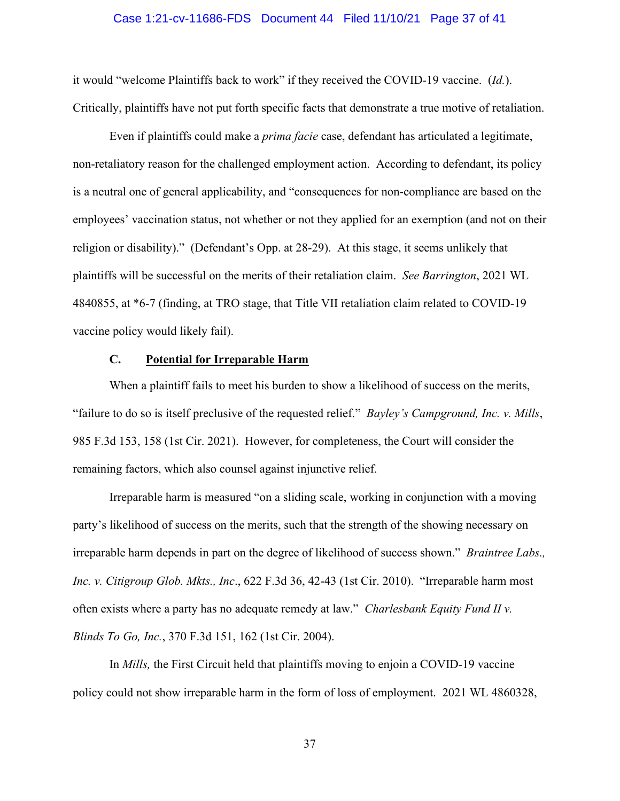#### Case 1:21-cv-11686-FDS Document 44 Filed 11/10/21 Page 37 of 41

it would "welcome Plaintiffs back to work" if they received the COVID-19 vaccine. (*Id.*). Critically, plaintiffs have not put forth specific facts that demonstrate a true motive of retaliation.

Even if plaintiffs could make a *prima facie* case, defendant has articulated a legitimate, non-retaliatory reason for the challenged employment action. According to defendant, its policy is a neutral one of general applicability, and "consequences for non-compliance are based on the employees' vaccination status, not whether or not they applied for an exemption (and not on their religion or disability)." (Defendant's Opp. at 28-29). At this stage, it seems unlikely that plaintiffs will be successful on the merits of their retaliation claim. *See Barrington*, 2021 WL 4840855, at \*6-7 (finding, at TRO stage, that Title VII retaliation claim related to COVID-19 vaccine policy would likely fail).

# **C. Potential for Irreparable Harm**

When a plaintiff fails to meet his burden to show a likelihood of success on the merits, "failure to do so is itself preclusive of the requested relief." *Bayley's Campground, Inc. v. Mills*, 985 F.3d 153, 158 (1st Cir. 2021). However, for completeness, the Court will consider the remaining factors, which also counsel against injunctive relief.

Irreparable harm is measured "on a sliding scale, working in conjunction with a moving party's likelihood of success on the merits, such that the strength of the showing necessary on irreparable harm depends in part on the degree of likelihood of success shown." *Braintree Labs., Inc. v. Citigroup Glob. Mkts., Inc*., 622 F.3d 36, 42-43 (1st Cir. 2010). "Irreparable harm most often exists where a party has no adequate remedy at law." *Charlesbank Equity Fund II v. Blinds To Go, Inc.*, 370 F.3d 151, 162 (1st Cir. 2004).

In *Mills,* the First Circuit held that plaintiffs moving to enjoin a COVID-19 vaccine policy could not show irreparable harm in the form of loss of employment. 2021 WL 4860328,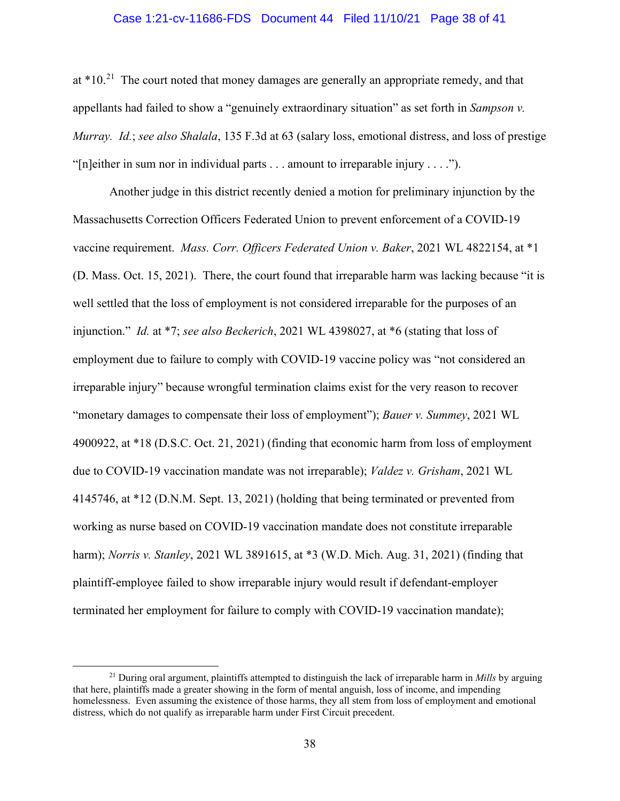#### Case 1:21-cv-11686-FDS Document 44 Filed 11/10/21 Page 38 of 41

at  $*10<sup>21</sup>$  $*10<sup>21</sup>$  $*10<sup>21</sup>$  The court noted that money damages are generally an appropriate remedy, and that appellants had failed to show a "genuinely extraordinary situation" as set forth in *Sampson v. Murray. Id.*; *see also Shalala*, 135 F.3d at 63 (salary loss, emotional distress, and loss of prestige "[n]either in sum nor in individual parts  $\dots$  amount to irreparable injury  $\dots$ .").

Another judge in this district recently denied a motion for preliminary injunction by the Massachusetts Correction Officers Federated Union to prevent enforcement of a COVID-19 vaccine requirement. *Mass. Corr. Officers Federated Union v. Baker*, 2021 WL 4822154, at \*1 (D. Mass. Oct. 15, 2021). There, the court found that irreparable harm was lacking because "it is well settled that the loss of employment is not considered irreparable for the purposes of an injunction." *Id.* at \*7; *see also Beckerich*, 2021 WL 4398027, at \*6 (stating that loss of employment due to failure to comply with COVID-19 vaccine policy was "not considered an irreparable injury" because wrongful termination claims exist for the very reason to recover "monetary damages to compensate their loss of employment"); *Bauer v. Summey*, 2021 WL 4900922, at \*18 (D.S.C. Oct. 21, 2021) (finding that economic harm from loss of employment due to COVID-19 vaccination mandate was not irreparable); *Valdez v. Grisham*, 2021 WL 4145746, at \*12 (D.N.M. Sept. 13, 2021) (holding that being terminated or prevented from working as nurse based on COVID-19 vaccination mandate does not constitute irreparable harm); *Norris v. Stanley*, 2021 WL 3891615, at \*3 (W.D. Mich. Aug. 31, 2021) (finding that plaintiff-employee failed to show irreparable injury would result if defendant-employer terminated her employment for failure to comply with COVID-19 vaccination mandate);

<span id="page-37-0"></span><sup>21</sup> During oral argument, plaintiffs attempted to distinguish the lack of irreparable harm in *Mills* by arguing that here, plaintiffs made a greater showing in the form of mental anguish, loss of income, and impending homelessness. Even assuming the existence of those harms, they all stem from loss of employment and emotional distress, which do not qualify as irreparable harm under First Circuit precedent.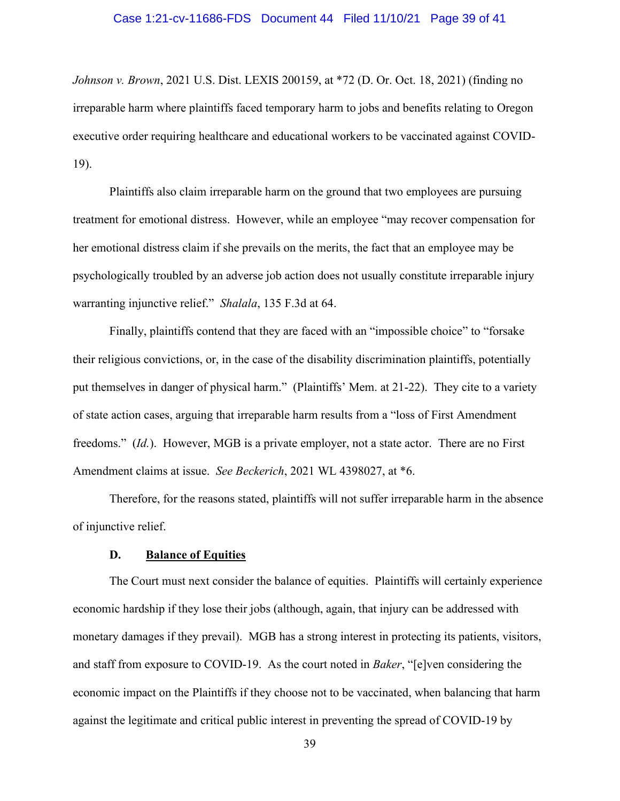#### Case 1:21-cv-11686-FDS Document 44 Filed 11/10/21 Page 39 of 41

*Johnson v. Brown*, 2021 U.S. Dist. LEXIS 200159, at \*72 (D. Or. Oct. 18, 2021) (finding no irreparable harm where plaintiffs faced temporary harm to jobs and benefits relating to Oregon executive order requiring healthcare and educational workers to be vaccinated against COVID-19).

Plaintiffs also claim irreparable harm on the ground that two employees are pursuing treatment for emotional distress. However, while an employee "may recover compensation for her emotional distress claim if she prevails on the merits, the fact that an employee may be psychologically troubled by an adverse job action does not usually constitute irreparable injury warranting injunctive relief." *Shalala*, 135 F.3d at 64.

Finally, plaintiffs contend that they are faced with an "impossible choice" to "forsake their religious convictions, or, in the case of the disability discrimination plaintiffs, potentially put themselves in danger of physical harm." (Plaintiffs' Mem. at 21-22). They cite to a variety of state action cases, arguing that irreparable harm results from a "loss of First Amendment freedoms." (*Id.*). However, MGB is a private employer, not a state actor. There are no First Amendment claims at issue. *See Beckerich*, 2021 WL 4398027, at \*6.

Therefore, for the reasons stated, plaintiffs will not suffer irreparable harm in the absence of injunctive relief.

# **D. Balance of Equities**

The Court must next consider the balance of equities. Plaintiffs will certainly experience economic hardship if they lose their jobs (although, again, that injury can be addressed with monetary damages if they prevail). MGB has a strong interest in protecting its patients, visitors, and staff from exposure to COVID-19. As the court noted in *Baker*, "[e]ven considering the economic impact on the Plaintiffs if they choose not to be vaccinated, when balancing that harm against the legitimate and critical public interest in preventing the spread of COVID-19 by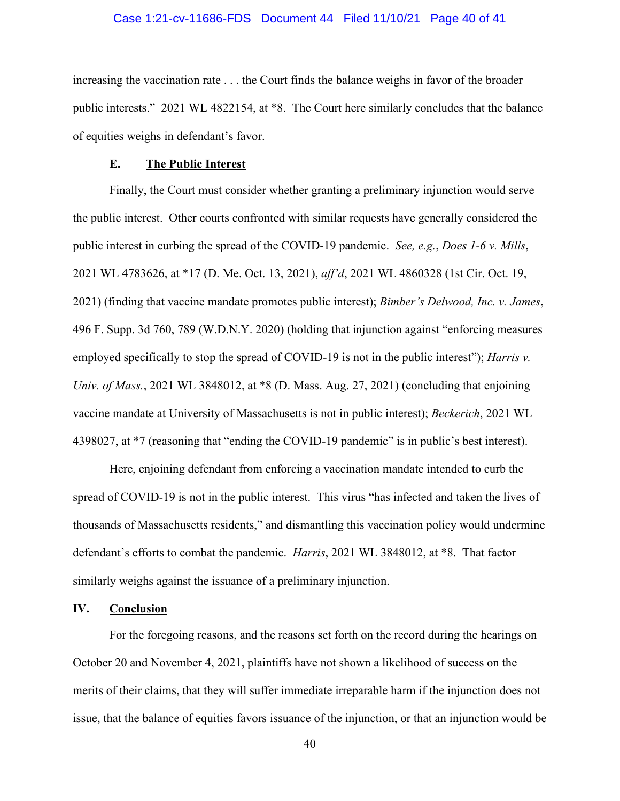#### Case 1:21-cv-11686-FDS Document 44 Filed 11/10/21 Page 40 of 41

increasing the vaccination rate . . . the Court finds the balance weighs in favor of the broader public interests." 2021 WL 4822154, at \*8. The Court here similarly concludes that the balance of equities weighs in defendant's favor.

#### **E. The Public Interest**

Finally, the Court must consider whether granting a preliminary injunction would serve the public interest. Other courts confronted with similar requests have generally considered the public interest in curbing the spread of the COVID-19 pandemic. *See, e.g.*, *Does 1-6 v. Mills*, 2021 WL 4783626, at \*17 (D. Me. Oct. 13, 2021), *aff'd*, 2021 WL 4860328 (1st Cir. Oct. 19, 2021) (finding that vaccine mandate promotes public interest); *Bimber's Delwood, Inc. v. James*, 496 F. Supp. 3d 760, 789 (W.D.N.Y. 2020) (holding that injunction against "enforcing measures employed specifically to stop the spread of COVID-19 is not in the public interest"); *Harris v. Univ. of Mass.*, 2021 WL 3848012, at \*8 (D. Mass. Aug. 27, 2021) (concluding that enjoining vaccine mandate at University of Massachusetts is not in public interest); *Beckerich*, 2021 WL 4398027, at \*7 (reasoning that "ending the COVID-19 pandemic" is in public's best interest).

Here, enjoining defendant from enforcing a vaccination mandate intended to curb the spread of COVID-19 is not in the public interest. This virus "has infected and taken the lives of thousands of Massachusetts residents," and dismantling this vaccination policy would undermine defendant's efforts to combat the pandemic. *Harris*, 2021 WL 3848012, at \*8. That factor similarly weighs against the issuance of a preliminary injunction.

### **IV. Conclusion**

For the foregoing reasons, and the reasons set forth on the record during the hearings on October 20 and November 4, 2021, plaintiffs have not shown a likelihood of success on the merits of their claims, that they will suffer immediate irreparable harm if the injunction does not issue, that the balance of equities favors issuance of the injunction, or that an injunction would be